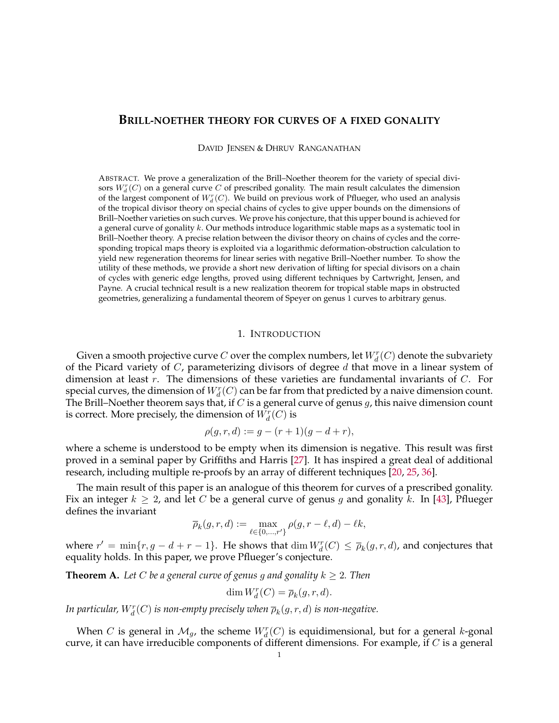## **BRILL-NOETHER THEORY FOR CURVES OF A FIXED GONALITY**

DAVID JENSEN & DHRUV RANGANATHAN

ABSTRACT. We prove a generalization of the Brill–Noether theorem for the variety of special divisors  $W_d^r(C)$  on a general curve  $C$  of prescribed gonality. The main result calculates the dimension of the largest component of  $W_d^r(C)$ . We build on previous work of Pflueger, who used an analysis of the tropical divisor theory on special chains of cycles to give upper bounds on the dimensions of Brill–Noether varieties on such curves. We prove his conjecture, that this upper bound is achieved for a general curve of gonality k. Our methods introduce logarithmic stable maps as a systematic tool in Brill–Noether theory. A precise relation between the divisor theory on chains of cycles and the corresponding tropical maps theory is exploited via a logarithmic deformation-obstruction calculation to yield new regeneration theorems for linear series with negative Brill–Noether number. To show the utility of these methods, we provide a short new derivation of lifting for special divisors on a chain of cycles with generic edge lengths, proved using different techniques by Cartwright, Jensen, and Payne. A crucial technical result is a new realization theorem for tropical stable maps in obstructed geometries, generalizing a fundamental theorem of Speyer on genus 1 curves to arbitrary genus.

#### 1. INTRODUCTION

<span id="page-0-1"></span>Given a smooth projective curve  $C$  over the complex numbers, let  $W^r_d(C)$  denote the subvariety of the Picard variety of  $C$ , parameterizing divisors of degree  $d$  that move in a linear system of dimension at least  $r$ . The dimensions of these varieties are fundamental invariants of  $C$ . For special curves, the dimension of  $W^r_d(C)$  can be far from that predicted by a naive dimension count. The Brill–Noether theorem says that, if  $C$  is a general curve of genus  $g$ , this naive dimension count is correct. More precisely, the dimension of  $\tilde{W^r_d}(C)$  is

$$
\rho(g, r, d) := g - (r + 1)(g - d + r),
$$

where a scheme is understood to be empty when its dimension is negative. This result was first proved in a seminal paper by Griffiths and Harris [\[27\]](#page-32-0). It has inspired a great deal of additional research, including multiple re-proofs by an array of different techniques [\[20,](#page-32-1) [25,](#page-32-2) [36\]](#page-32-3).

The main result of this paper is an analogue of this theorem for curves of a prescribed gonality. Fix an integer  $k \geq 2$ , and let C be a general curve of genus g and gonality k. In [\[43\]](#page-32-4), Pflueger defines the invariant

$$
\overline{\rho}_k(g,r,d) := \max_{\ell \in \{0,\ldots,r'\}} \rho(g,r-\ell,d) - \ell k,
$$

where  $r' = \min\{r, g - d + r - 1\}$ . He shows that  $\dim W_d^r(C) \le \overline{\rho}_k(g, r, d)$ , and conjectures that equality holds. In this paper, we prove Pflueger's conjecture.

<span id="page-0-0"></span>**Theorem A.** Let C be a general curve of genus g and gonality  $k \geq 2$ . Then

$$
\dim W_d^r(C) = \overline{\rho}_k(g, r, d).
$$

In particular,  $W_d^r(C)$  is non-empty precisely when  $\overline{\rho}_k(g,r,d)$  is non-negative.

When C is general in  $\mathcal{M}_g$ , the scheme  $W_d^r(C)$  is equidimensional, but for a general k-gonal curve, it can have irreducible components of different dimensions. For example, if  $C$  is a general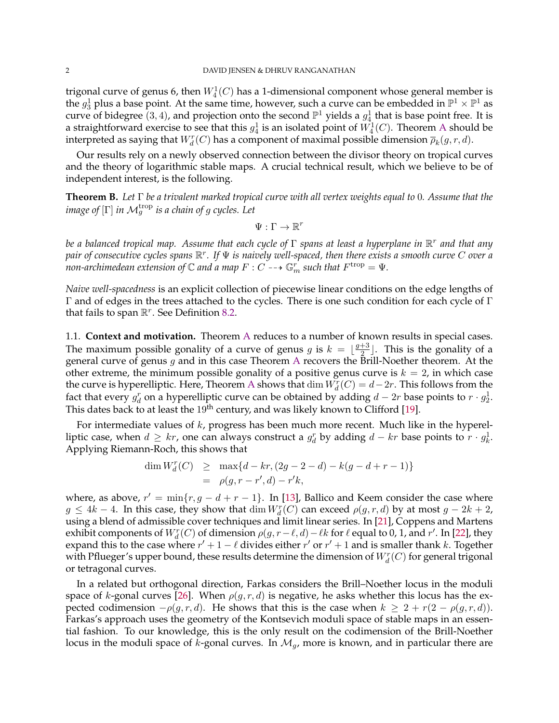trigonal curve of genus 6, then  $W^1_4(C)$  has a 1-dimensional component whose general member is the  $g_3^1$  plus a base point. At the same time, however, such a curve can be embedded in  $\mathbb{P}^1 \times \mathbb{P}^1$  as curve of bidegree  $(3,4)$ , and projection onto the second  $\mathbb{P}^1$  yields a  $g_4^1$  that is base point free. It is a straightforward exercise to see that this  $g_4^1$  is an isolated point of  $W^1_4(C).$  Theorem [A](#page-0-0) should be interpreted as saying that  $W^r_d(C)$  has a component of maximal possible dimension  $\overline{\rho}_k(g,r,d)$ .

Our results rely on a newly observed connection between the divisor theory on tropical curves and the theory of logarithmic stable maps. A crucial technical result, which we believe to be of independent interest, is the following.

<span id="page-1-0"></span>**Theorem B.** *Let* Γ *be a trivalent marked tropical curve with all vertex weights equal to* 0*. Assume that the*  $\emph{image of}$  [ $\Gamma]$  *in*  $\mathcal{M}_g^{\text{trop}}$  *is a chain of g cycles. Let* 

$$
\Psi:\Gamma\to\mathbb{R}^r
$$

*be a balanced tropical map. Assume that each cycle of* Γ *spans at least a hyperplane in* R r *and that any pair of consecutive cycles spans* R r *. If* Ψ *is naively well-spaced, then there exists a smooth curve* C *over a* non-archimedean extension of  $\mathbb C$  and a map  $F:C\dashrightarrow \mathbb G_m^r$  such that  $F^{\mathrm{trop}}=\Psi.$ 

*Naive well-spacedness* is an explicit collection of piecewise linear conditions on the edge lengths of Γ and of edges in the trees attached to the cycles. There is one such condition for each cycle of Γ that fails to span  $\mathbb{R}^r$ . See Definition [8.2.](#page-24-0)

<span id="page-1-1"></span>1.1. **Context and motivation.** Theorem [A](#page-0-0) reduces to a number of known results in special cases. The maximum possible gonality of a curve of genus g is  $k = \lfloor \frac{g+3}{2} \rfloor$  $\frac{+3}{2}$ . This is the gonality of a general curve of genus  $g$  and in this case Theorem [A](#page-0-0) recovers the Brill-Noether theorem. At the other extreme, the minimum possible gonality of a positive genus curve is  $k = 2$ , in which case the curve is hyperelliptic. Here, Theorem [A](#page-0-0) shows that  $\dim W_d^r(C) = d-2r$ . This follows from the fact that every  $g_d^r$  on a hyperelliptic curve can be obtained by adding  $d-2r$  base points to  $r \cdot g_2^1$ . This dates back to at least the  $19<sup>th</sup>$  century, and was likely known to Clifford [\[19\]](#page-32-5).

For intermediate values of  $k$ , progress has been much more recent. Much like in the hyperelliptic case, when  $d \geq kr$ , one can always construct a  $g_d^r$  by adding  $d - kr$  base points to  $r \cdot g_k^1$ . Applying Riemann-Roch, this shows that

$$
\dim W_d^r(C) \ge \max\{d - kr, (2g - 2 - d) - k(g - d + r - 1)\}
$$
  
=  $\rho(g, r - r', d) - r'k$ ,

where, as above,  $r' = \min\{r, g - d + r - 1\}$ . In [\[13\]](#page-31-0), Ballico and Keem consider the case where  $g \leq 4k-4$ . In this case, they show that  $\dim W_d^r(C)$  can exceed  $\rho(g,r,d)$  by at most  $g-2k+2$ , using a blend of admissible cover techniques and limit linear series. In [\[21\]](#page-32-6), Coppens and Martens exhibit components of  $W_d^r(C)$  of dimension  $\rho(g, r - \ell, d) - \ell k$  for  $\ell$  equal to 0, 1, and r'. In [\[22\]](#page-32-7), they expand this to the case where  $r' + 1 - \ell$  divides either  $r'$  or  $r' + 1$  and is smaller thank k. Together with Pflueger's upper bound, these results determine the dimension of  $W^r_d(C)$  for general trigonal or tetragonal curves.

In a related but orthogonal direction, Farkas considers the Brill–Noether locus in the moduli space of k-gonal curves [\[26\]](#page-32-8). When  $\rho(g, r, d)$  is negative, he asks whether this locus has the expected codimension  $-\rho(q, r, d)$ . He shows that this is the case when  $k \geq 2 + r(2 - \rho(q, r, d))$ . Farkas's approach uses the geometry of the Kontsevich moduli space of stable maps in an essential fashion. To our knowledge, this is the only result on the codimension of the Brill-Noether locus in the moduli space of k-gonal curves. In  $\mathcal{M}_q$ , more is known, and in particular there are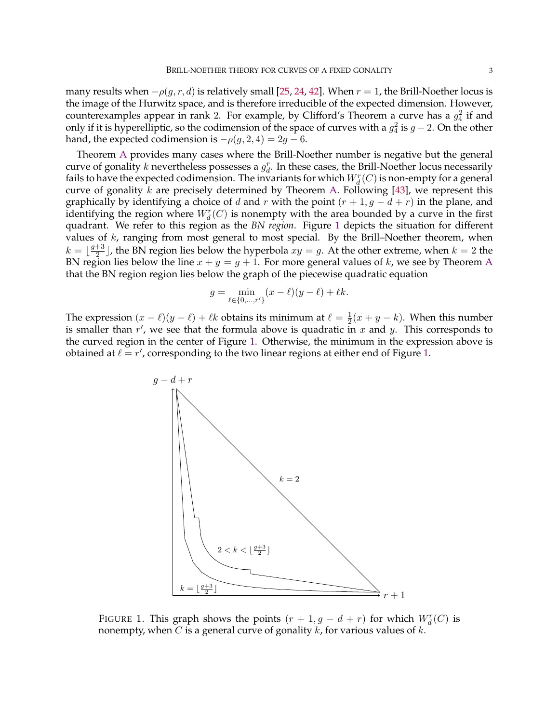many results when  $-\rho(g, r, d)$  is relatively small [\[25,](#page-32-2) [24,](#page-32-9) [42\]](#page-32-10). When  $r = 1$ , the Brill-Noether locus is the image of the Hurwitz space, and is therefore irreducible of the expected dimension. However, counterexamples appear in rank 2. For example, by Clifford's Theorem a curve has a  $g_4^2$  if and only if it is hyperelliptic, so the codimension of the space of curves with a  $g_4^2$  is  $g-2$ . On the other hand, the expected codimension is  $-\rho(g, 2, 4) = 2g - 6$ .

Theorem [A](#page-0-0) provides many cases where the Brill-Noether number is negative but the general curve of gonality k nevertheless possesses a  $g_d^r$ . In these cases, the Brill-Noether locus necessarily fails to have the expected codimension. The invariants for which  $W^r_d(C)$  is non-empty for a general curve of gonality  $k$  are precisely determined by Theorem [A.](#page-0-0) Following [\[43\]](#page-32-4), we represent this graphically by identifying a choice of d and r with the point  $(r + 1, g - d + r)$  in the plane, and identifying the region where  $W^r_d(C)$  is nonempty with the area bounded by a curve in the first quadrant. We refer to this region as the *BN region*. Figure [1](#page-2-0) depicts the situation for different values of  $k$ , ranging from most general to most special. By the Brill–Noether theorem, when  $k = \frac{g+3}{2}$  $\frac{+3}{2}$ , the BN region lies below the hyperbola  $xy = g$ . At the other extreme, when  $k = 2$  the BN region lies below the line  $x + y = g + 1$ . For more general values of k, we see by Theorem [A](#page-0-0) that the BN region region lies below the graph of the piecewise quadratic equation

$$
g = \min_{\ell \in \{0, ..., r'\}} (x - \ell)(y - \ell) + \ell k.
$$

The expression  $(x - \ell)(y - \ell) + \ell k$  obtains its minimum at  $\ell = \frac{1}{2}$  $\frac{1}{2}(x+y-k)$ . When this number is smaller than  $r'$ , we see that the formula above is quadratic in x and y. This corresponds to the curved region in the center of Figure [1.](#page-2-0) Otherwise, the minimum in the expression above is obtained at  $\ell = r'$ , corresponding to the two linear regions at either end of Figure [1.](#page-2-0)



<span id="page-2-0"></span>FIGURE 1. This graph shows the points  $(r + 1, g - d + r)$  for which  $W_d^r(C)$  is nonempty, when C is a general curve of gonality  $k$ , for various values of  $k$ .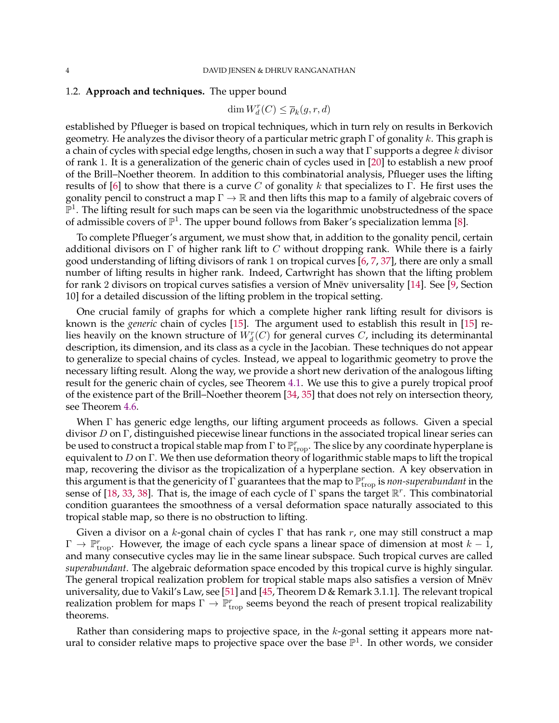# <span id="page-3-0"></span>1.2. **Approach and techniques.** The upper bound

dim  $W_d^r(C) \leq \overline{\rho}_k(g,r,d)$ 

established by Pflueger is based on tropical techniques, which in turn rely on results in Berkovich geometry. He analyzes the divisor theory of a particular metric graph  $\Gamma$  of gonality k. This graph is a chain of cycles with special edge lengths, chosen in such a way that  $\Gamma$  supports a degree k divisor of rank 1. It is a generalization of the generic chain of cycles used in [\[20\]](#page-32-1) to establish a new proof of the Brill–Noether theorem. In addition to this combinatorial analysis, Pflueger uses the lifting results of [\[6\]](#page-31-1) to show that there is a curve C of gonality k that specializes to Γ. He first uses the gonality pencil to construct a map  $\Gamma \to \mathbb{R}$  and then lifts this map to a family of algebraic covers of  $\mathbb{P}^1$ . The lifting result for such maps can be seen via the logarithmic unobstructedness of the space of admissible covers of  $\mathbb{P}^1$ . The upper bound follows from Baker's specialization lemma [\[8\]](#page-31-2).

To complete Pflueger's argument, we must show that, in addition to the gonality pencil, certain additional divisors on  $\Gamma$  of higher rank lift to C without dropping rank. While there is a fairly good understanding of lifting divisors of rank 1 on tropical curves [\[6,](#page-31-1) [7,](#page-31-3) [37\]](#page-32-11), there are only a small number of lifting results in higher rank. Indeed, Cartwright has shown that the lifting problem for rank 2 divisors on tropical curves satisfies a version of Mnev universality  $[14]$  $[14]$ . See [\[9,](#page-31-5) Section 10] for a detailed discussion of the lifting problem in the tropical setting.

One crucial family of graphs for which a complete higher rank lifting result for divisors is known is the *generic* chain of cycles [\[15\]](#page-31-6). The argument used to establish this result in [\[15\]](#page-31-6) relies heavily on the known structure of  $W^r_d(C)$  for general curves  $C$ , including its determinantal description, its dimension, and its class as a cycle in the Jacobian. These techniques do not appear to generalize to special chains of cycles. Instead, we appeal to logarithmic geometry to prove the necessary lifting result. Along the way, we provide a short new derivation of the analogous lifting result for the generic chain of cycles, see Theorem [4.1.](#page-11-0) We use this to give a purely tropical proof of the existence part of the Brill–Noether theorem [\[34,](#page-32-12) [35\]](#page-32-13) that does not rely on intersection theory, see Theorem [4.6.](#page-14-0)

When Γ has generic edge lengths, our lifting argument proceeds as follows. Given a special divisor D on  $\Gamma$ , distinguished piecewise linear functions in the associated tropical linear series can be used to construct a tropical stable map from  $\Gamma$  to  $\mathbb{P}^r_{\mathrm{trop}}$ . The slice by any coordinate hyperplane is equivalent to D on  $\Gamma$ . We then use deformation theory of logarithmic stable maps to lift the tropical map, recovering the divisor as the tropicalization of a hyperplane section. A key observation in this argument is that the genericity of  $\Gamma$  guarantees that the map to  $\mathbb{P}^r_{\rm trop}$  is *non-superabundant* in the sense of [\[18,](#page-32-14) [33,](#page-32-15) [38\]](#page-32-16). That is, the image of each cycle of  $\Gamma$  spans the target  $\mathbb{R}^r$ . This combinatorial condition guarantees the smoothness of a versal deformation space naturally associated to this tropical stable map, so there is no obstruction to lifting.

Given a divisor on a k-gonal chain of cycles  $\Gamma$  that has rank r, one may still construct a map  $\Gamma \to \mathbb{P}^r_{\text{trop}}$ . However, the image of each cycle spans a linear space of dimension at most  $k-1$ , and many consecutive cycles may lie in the same linear subspace. Such tropical curves are called *superabundant*. The algebraic deformation space encoded by this tropical curve is highly singular. The general tropical realization problem for tropical stable maps also satisfies a version of Mnëv universality, due to Vakil's Law, see [\[51\]](#page-32-17) and [\[45,](#page-32-18) Theorem D & Remark 3.1.1]. The relevant tropical realization problem for maps  $\Gamma \to \mathbb{P}^r_{\text{trop}}$  seems beyond the reach of present tropical realizability theorems.

Rather than considering maps to projective space, in the  $k$ -gonal setting it appears more natural to consider relative maps to projective space over the base  $\mathbb{P}^1$ . In other words, we consider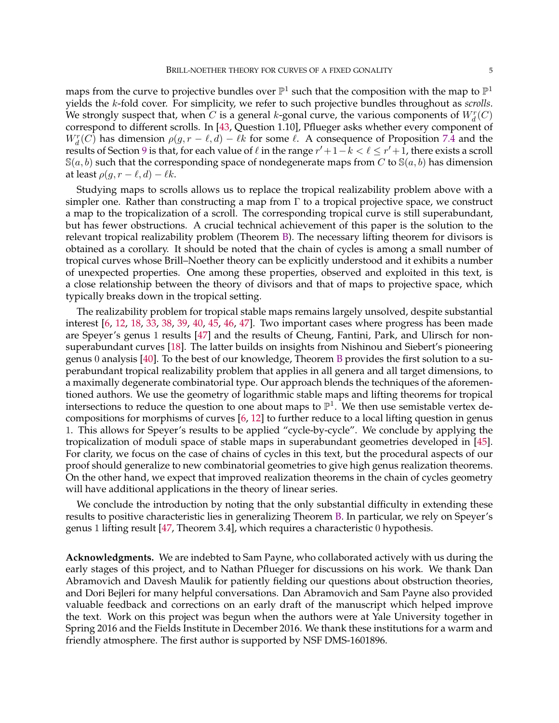maps from the curve to projective bundles over  $\mathbb{P}^1$  such that the composition with the map to  $\mathbb{P}^1$ yields the k-fold cover. For simplicity, we refer to such projective bundles throughout as *scrolls*. We strongly suspect that, when  $C$  is a general k-gonal curve, the various components of  $W^r_d(C)$ correspond to different scrolls. In [\[43,](#page-32-4) Question 1.10], Pflueger asks whether every component of  $W_d^r(C)$  has dimension  $\rho(g, r - \ell, d) - \ell k$  for some  $\ell$ . A consequence of Proposition [7.4](#page-22-0) and the results of Section [9](#page-28-0) is that, for each value of  $\ell$  in the range  $r' + 1 - k < \ell \leq r' + 1$ , there exists a scroll  $S(a, b)$  such that the corresponding space of nondegenerate maps from C to  $S(a, b)$  has dimension at least  $\rho(q, r - \ell, d) - \ell k$ .

Studying maps to scrolls allows us to replace the tropical realizability problem above with a simpler one. Rather than constructing a map from  $\Gamma$  to a tropical projective space, we construct a map to the tropicalization of a scroll. The corresponding tropical curve is still superabundant, but has fewer obstructions. A crucial technical achievement of this paper is the solution to the relevant tropical realizability problem (Theorem [B\)](#page-1-0). The necessary lifting theorem for divisors is obtained as a corollary. It should be noted that the chain of cycles is among a small number of tropical curves whose Brill–Noether theory can be explicitly understood and it exhibits a number of unexpected properties. One among these properties, observed and exploited in this text, is a close relationship between the theory of divisors and that of maps to projective space, which typically breaks down in the tropical setting.

The realizability problem for tropical stable maps remains largely unsolved, despite substantial interest [\[6,](#page-31-1) [12,](#page-31-7) [18,](#page-32-14) [33,](#page-32-15) [38,](#page-32-16) [39,](#page-32-19) [40,](#page-32-20) [45,](#page-32-18) [46,](#page-32-21) [47\]](#page-32-22). Two important cases where progress has been made are Speyer's genus 1 results [\[47\]](#page-32-22) and the results of Cheung, Fantini, Park, and Ulirsch for nonsuperabundant curves [\[18\]](#page-32-14). The latter builds on insights from Nishinou and Siebert's pioneering genus 0 analysis [\[40\]](#page-32-20). To the best of our knowledge, Theorem [B](#page-1-0) provides the first solution to a superabundant tropical realizability problem that applies in all genera and all target dimensions, to a maximally degenerate combinatorial type. Our approach blends the techniques of the aforementioned authors. We use the geometry of logarithmic stable maps and lifting theorems for tropical intersections to reduce the question to one about maps to  $\mathbb{P}^1$ . We then use semistable vertex decompositions for morphisms of curves [\[6,](#page-31-1) [12\]](#page-31-7) to further reduce to a local lifting question in genus 1. This allows for Speyer's results to be applied "cycle-by-cycle". We conclude by applying the tropicalization of moduli space of stable maps in superabundant geometries developed in [\[45\]](#page-32-18). For clarity, we focus on the case of chains of cycles in this text, but the procedural aspects of our proof should generalize to new combinatorial geometries to give high genus realization theorems. On the other hand, we expect that improved realization theorems in the chain of cycles geometry will have additional applications in the theory of linear series.

We conclude the introduction by noting that the only substantial difficulty in extending these results to positive characteristic lies in generalizing Theorem [B.](#page-1-0) In particular, we rely on Speyer's genus 1 lifting result [\[47,](#page-32-22) Theorem 3.4], which requires a characteristic 0 hypothesis.

**Acknowledgments.** We are indebted to Sam Payne, who collaborated actively with us during the early stages of this project, and to Nathan Pflueger for discussions on his work. We thank Dan Abramovich and Davesh Maulik for patiently fielding our questions about obstruction theories, and Dori Bejleri for many helpful conversations. Dan Abramovich and Sam Payne also provided valuable feedback and corrections on an early draft of the manuscript which helped improve the text. Work on this project was begun when the authors were at Yale University together in Spring 2016 and the Fields Institute in December 2016. We thank these institutions for a warm and friendly atmosphere. The first author is supported by NSF DMS-1601896.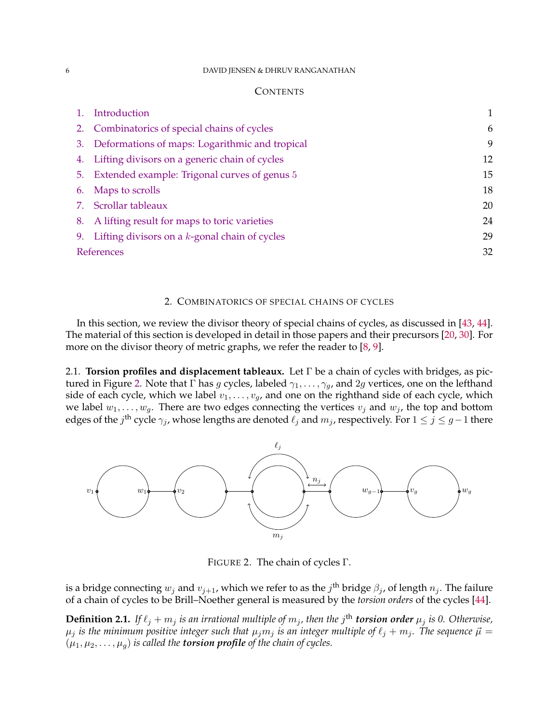#### 6 DAVID JENSEN & DHRUV RANGANATHAN

## **CONTENTS**

| Introduction                                        |    |
|-----------------------------------------------------|----|
| 2. Combinatorics of special chains of cycles        | 6  |
| 3. Deformations of maps: Logarithmic and tropical   | 9  |
| 4. Lifting divisors on a generic chain of cycles    | 12 |
| 5. Extended example: Trigonal curves of genus 5     | 15 |
| 6. Maps to scrolls                                  | 18 |
| 7. Scrollar tableaux                                | 20 |
| 8. A lifting result for maps to toric varieties     | 24 |
| 9. Lifting divisors on a $k$ -gonal chain of cycles | 29 |
| References                                          | 32 |
|                                                     |    |

## 2. COMBINATORICS OF SPECIAL CHAINS OF CYCLES

<span id="page-5-0"></span>In this section, we review the divisor theory of special chains of cycles, as discussed in [\[43,](#page-32-4) [44\]](#page-32-23). The material of this section is developed in detail in those papers and their precursors [\[20,](#page-32-1) [30\]](#page-32-24). For more on the divisor theory of metric graphs, we refer the reader to [\[8,](#page-31-2) [9\]](#page-31-5).

2.1. **Torsion profiles and displacement tableaux.** Let Γ be a chain of cycles with bridges, as pic-tured in Figure [2.](#page-5-1) Note that  $\Gamma$  has g cycles, labeled  $\gamma_1, \dots, \gamma_g$ , and 2g vertices, one on the lefthand side of each cycle, which we label  $v_1, \ldots, v_g$ , and one on the righthand side of each cycle, which we label  $w_1, \ldots, w_q$ . There are two edges connecting the vertices  $v_j$  and  $w_j$ , the top and bottom edges of the  $j^{\text{th}}$  cycle  $\gamma_j$ , whose lengths are denoted  $\ell_j$  and  $m_j$ , respectively. For  $1\leq j\leq g-1$  there



<span id="page-5-1"></span>FIGURE 2. The chain of cycles Γ.

is a bridge connecting  $w_j$  and  $v_{j+1}$ , which we refer to as the  $j^{\text{th}}$  bridge  $\beta_j$ , of length  $n_j.$  The failure of a chain of cycles to be Brill–Noether general is measured by the *torsion orders* of the cycles [\[44\]](#page-32-23).

<span id="page-5-2"></span>**Definition 2.1.** If  $\ell_j + m_j$  is an irrational multiple of  $m_j$ , then the  $j^{\text{th}}$  **torsion order**  $\mu_j$  is 0. Otherwise,  $\mu_j$  *is the minimum positive integer such that*  $\mu_j m_j$  *is an integer multiple of*  $\ell_j + m_j$ *. The sequence*  $\vec{\mu} =$  $(\mu_1, \mu_2, \dots, \mu_g)$  *is called the torsion profile of the chain of cycles.*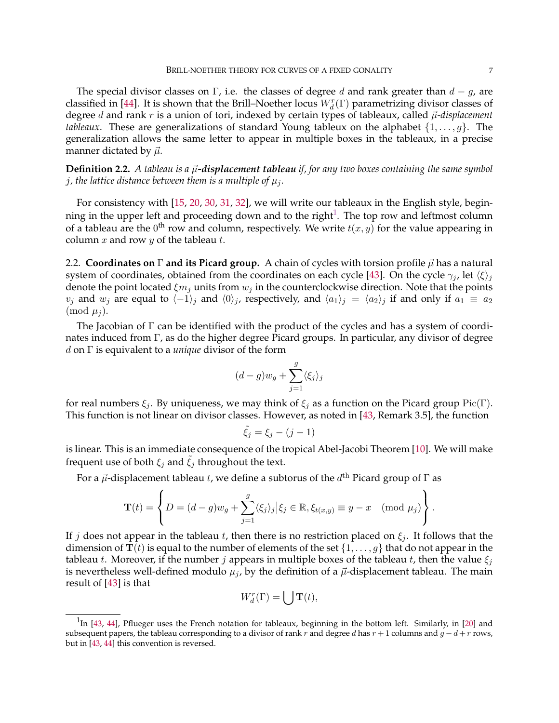The special divisor classes on Γ, i.e. the classes of degree d and rank greater than  $d - g$ , are classified in [\[44\]](#page-32-23). It is shown that the Brill–Noether locus  $W_d^r(\Gamma)$  parametrizing divisor classes of degree  $d$  and rank  $r$  is a union of tori, indexed by certain types of tableaux, called  $\vec{\mu}$ -displacement *tableaux*. These are generalizations of standard Young tableux on the alphabet  $\{1, \ldots, q\}$ . The generalization allows the same letter to appear in multiple boxes in the tableaux, in a precise manner dictated by  $\vec{\mu}$ .

<span id="page-6-2"></span>**Definition 2.2.** *A tableau is a*  $\vec{\mu}$ *-displacement tableau if, for any two boxes containing the same symbol j*, the lattice distance between them is a multiple of  $\mu_i$ .

For consistency with [\[15,](#page-31-6) [20,](#page-32-1) [30,](#page-32-24) [31,](#page-32-25) [32\]](#page-32-26), we will write our tableaux in the English style, beginning in the upper left and proceeding down and to the right $^1$  $^1$ . The top row and leftmost column of a tableau are the  $0^{\text{th}}$  row and column, respectively. We write  $t(x, y)$  for the value appearing in column  $x$  and row  $y$  of the tableau  $t$ .

<span id="page-6-1"></span>2.2. **Coordinates on** Γ **and its Picard group.** A chain of cycles with torsion profile  $\vec{\mu}$  has a natural system of coordinates, obtained from the coordinates on each cycle [\[43\]](#page-32-4). On the cycle  $\gamma_j$ , let  $\langle \xi \rangle_j$ denote the point located  $\xi m_j$  units from  $w_j$  in the counterclockwise direction. Note that the points  $v_j$  and  $w_j$  are equal to  $\langle -1\rangle_j$  and  $\langle 0\rangle_j$ , respectively, and  $\langle a_1\rangle_j = \langle a_2\rangle_j$  if and only if  $a_1 \equiv a_2$  $\pmod{\mu_i}$ .

The Jacobian of Γ can be identified with the product of the cycles and has a system of coordinates induced from Γ, as do the higher degree Picard groups. In particular, any divisor of degree d on Γ is equivalent to a *unique* divisor of the form

$$
(d-g)w_g + \sum_{j=1}^g \langle \xi_j \rangle_j
$$

for real numbers  $\xi_i$ . By uniqueness, we may think of  $\xi_i$  as a function on the Picard group Pic(Γ). This function is not linear on divisor classes. However, as noted in [\[43,](#page-32-4) Remark 3.5], the function

$$
\tilde{\xi_j} = \xi_j - (j-1)
$$

is linear. This is an immediate consequence of the tropical Abel-Jacobi Theorem [\[10\]](#page-31-9). We will make frequent use of both  $\xi_j$  and  $\xi_j$  throughout the text.

For a  $\vec{\mu}$ -displacement tableau t, we define a subtorus of the  $d^{\text{th}}$  Picard group of  $\Gamma$  as

$$
\mathbf{T}(t) = \left\{ D = (d-g)w_g + \sum_{j=1}^g \langle \xi_j \rangle_j \, \middle| \, \xi_j \in \mathbb{R}, \, \xi_{t(x,y)} \equiv y - x \pmod{\mu_j} \right\}.
$$

If j does not appear in the tableau t, then there is no restriction placed on  $\xi_j$ . It follows that the dimension of  $\mathbf{T}(t)$  is equal to the number of elements of the set  $\{1,\ldots,g\}$  that do not appear in the tableau t. Moreover, if the number j appears in multiple boxes of the tableau t, then the value  $\xi_i$ is nevertheless well-defined modulo  $\mu_j$ , by the definition of a  $\vec{\mu}$ -displacement tableau. The main result of [\[43\]](#page-32-4) is that

$$
W_d^r(\Gamma) = \bigcup \mathbf{T}(t),
$$

<span id="page-6-0"></span> $1$ In [\[43,](#page-32-4) [44\]](#page-32-23), Pflueger uses the French notation for tableaux, beginning in the bottom left. Similarly, in [\[20\]](#page-32-1) and subsequent papers, the tableau corresponding to a divisor of rank r and degree d has  $r + 1$  columns and  $g - d + r$  rows, but in [\[43,](#page-32-4) [44\]](#page-32-23) this convention is reversed.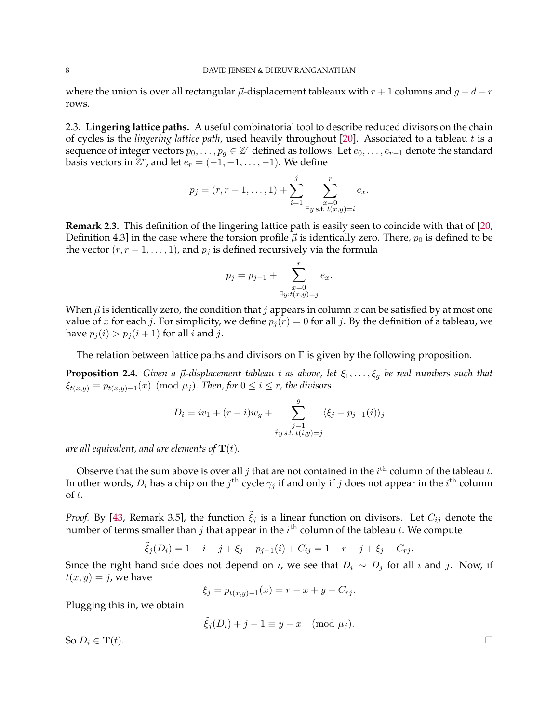where the union is over all rectangular  $\vec{\mu}$ -displacement tableaux with  $r + 1$  columns and  $g - d + r$ rows.

<span id="page-7-1"></span>2.3. **Lingering lattice paths.** A useful combinatorial tool to describe reduced divisors on the chain of cycles is the *lingering lattice path*, used heavily throughout [\[20\]](#page-32-1). Associated to a tableau t is a sequence of integer vectors  $p_0, \ldots, p_g \in \mathbb{Z}^r$  defined as follows. Let  $e_0, \ldots, e_{r-1}$  denote the standard basis vectors in  $\mathbb{Z}^r$ , and let  $e_r = (-1, -1, \ldots, -1)$ . We define

$$
p_j = (r, r-1, \dots, 1) + \sum_{i=1}^j \sum_{\substack{x=0 \ \exists y \text{ s.t. } t(x,y)=i}}^r e_x.
$$

<span id="page-7-2"></span>**Remark 2.3.** This definition of the lingering lattice path is easily seen to coincide with that of [\[20,](#page-32-1) Definition 4.3] in the case where the torsion profile  $\vec{\mu}$  is identically zero. There,  $p_0$  is defined to be the vector  $(r, r - 1, \ldots, 1)$ , and  $p_j$  is defined recursively via the formula

$$
p_j = p_{j-1} + \sum_{\substack{x=0 \\ \exists y : t(x,y)=j}}^r e_x.
$$

When  $\vec{\mu}$  is identically zero, the condition that j appears in column x can be satisfied by at most one value of x for each j. For simplicity, we define  $p_i(r) = 0$  for all j. By the definition of a tableau, we have  $p_i(i) > p_i(i + 1)$  for all *i* and *j*.

The relation between lattice paths and divisors on  $\Gamma$  is given by the following proposition.

<span id="page-7-0"></span>**Proposition 2.4.** *Given a*  $\vec{\mu}$ *-displacement tableau t as above, let*  $\xi_1, \ldots, \xi_g$  *be real numbers such that*  $\xi_{t(x,y)} \equiv p_{t(x,y)-1}(x) \pmod{\mu_j}$ . Then, for  $0 \leq i \leq r$ , the divisors

$$
D_i = iv_1 + (r - i)w_g + \sum_{\substack{j=1 \ j \text{ s.t. } t(i,y)=j}}^g \langle \xi_j - p_{j-1}(i) \rangle_j
$$

*are all equivalent, and are elements of*  $\mathbf{T}(t)$ *.* 

Observe that the sum above is over all  $j$  that are not contained in the  $i^{\text{th}}$  column of the tableau  $t$ . In other words,  $D_i$  has a chip on the  $j^{\text{th}}$  cycle  $\gamma_j$  if and only if  $j$  does not appear in the  $i^{\text{th}}$  column of t.

*Proof.* By [\[43,](#page-32-4) Remark 3.5], the function  $\tilde{\xi}_j$  is a linear function on divisors. Let  $C_{ij}$  denote the number of terms smaller than  $j$  that appear in the  $i^{\text{th}}$  column of the tableau  $t.$  We compute

$$
\tilde{\xi}_j(D_i) = 1 - i - j + \xi_j - p_{j-1}(i) + C_{ij} = 1 - r - j + \xi_j + C_{rj}.
$$

Since the right hand side does not depend on *i*, we see that  $D_i \sim D_j$  for all *i* and *j*. Now, if  $t(x, y) = j$ , we have

$$
\xi_j = p_{t(x,y)-1}(x) = r - x + y - C_{rj}.
$$

Plugging this in, we obtain

$$
\tilde{\xi}_j(D_i) + j - 1 \equiv y - x \pmod{\mu_j}.
$$

So  $D_i \in \mathbf{T}(t)$ .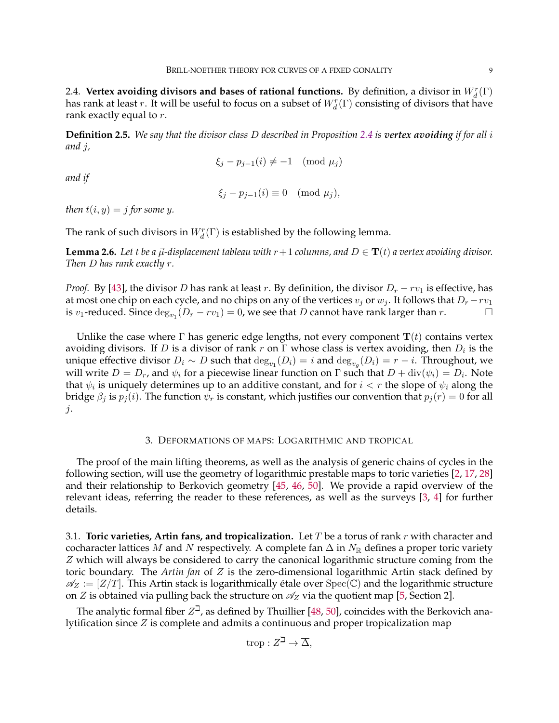2.4. Vertex avoiding divisors and bases of rational functions. By definition, a divisor in  $W_d^r(\Gamma)$ has rank at least  $r.$  It will be useful to focus on a subset of  $W^r_d(\Gamma)$  consisting of divisors that have rank exactly equal to r.

**Definition 2.5.** *We say that the divisor class* D *described in Proposition [2.4](#page-7-0) is vertex avoiding if for all* i *and* j*,*

$$
\xi_j - p_{j-1}(i) \neq -1 \pmod{\mu_j}
$$

*and if*

$$
\xi_j - p_{j-1}(i) \equiv 0 \pmod{\mu_j},
$$

*then*  $t(i, y) = j$  *for some* y.

The rank of such divisors in  $W_d^r(\Gamma)$  is established by the following lemma.

<span id="page-8-1"></span>**Lemma 2.6.** Let *t* be a  $\vec{\mu}$ -displacement tableau with  $r+1$  columns, and  $D \in \mathbf{T}(t)$  a vertex avoiding divisor. *Then* D *has rank exactly* r*.*

*Proof.* By [\[43\]](#page-32-4), the divisor D has rank at least r. By definition, the divisor  $D_r - rv_1$  is effective, has at most one chip on each cycle, and no chips on any of the vertices  $v_j$  or  $w_j$ . It follows that  $D_r - rv_1$ is  $v_1$ -reduced. Since  $\deg_{v_1}(D_r - rv_1) = 0$ , we see that D cannot have rank larger than r.

Unlike the case where  $\Gamma$  has generic edge lengths, not every component  $\mathbf{T}(t)$  contains vertex avoiding divisors. If D is a divisor of rank r on  $\Gamma$  whose class is vertex avoiding, then  $D_i$  is the unique effective divisor  $D_i \sim D$  such that  $\deg_{v_1}(D_i) = i$  and  $\deg_{v_g}(D_i) = r - i$ . Throughout, we will write  $D=D_r$ , and  $\psi_i$  for a piecewise linear function on  $\Gamma$  such that  $D+{\rm div}(\psi_i)=D_i.$  Note that  $\psi_i$  is uniquely determines up to an additive constant, and for  $i < r$  the slope of  $\psi_i$  along the bridge  $\beta_i$  is  $p_i(i)$ . The function  $\psi_r$  is constant, which justifies our convention that  $p_i(r) = 0$  for all j.

#### 3. DEFORMATIONS OF MAPS: LOGARITHMIC AND TROPICAL

<span id="page-8-0"></span>The proof of the main lifting theorems, as well as the analysis of generic chains of cycles in the following section, will use the geometry of logarithmic prestable maps to toric varieties [\[2,](#page-31-10) [17,](#page-32-27) [28\]](#page-32-28) and their relationship to Berkovich geometry [\[45,](#page-32-18) [46,](#page-32-21) [50\]](#page-32-29). We provide a rapid overview of the relevant ideas, referring the reader to these references, as well as the surveys [\[3,](#page-31-11) [4\]](#page-31-12) for further details.

<span id="page-8-2"></span>3.1. **Toric varieties, Artin fans, and tropicalization.** Let T be a torus of rank r with character and cocharacter lattices M and N respectively. A complete fan  $\Delta$  in  $N_{\mathbb{R}}$  defines a proper toric variety Z which will always be considered to carry the canonical logarithmic structure coming from the toric boundary. The *Artin fan* of Z is the zero-dimensional logarithmic Artin stack defined by  $\mathscr{A}_Z := [Z/T]$ . This Artin stack is logarithmically étale over  $Spec(\mathbb{C})$  and the logarithmic structure on Z is obtained via pulling back the structure on  $\mathcal{A}_Z$  via the quotient map [\[5,](#page-31-13) Section 2].

The analytic formal fiber  $Z^{\square}$ , as defined by Thuillier [\[48,](#page-32-30) [50\]](#page-32-29), coincides with the Berkovich analytification since  $Z$  is complete and admits a continuous and proper tropicalization map

$$
\operatorname{trop}: Z^{\beth} \to \overline{\Delta},
$$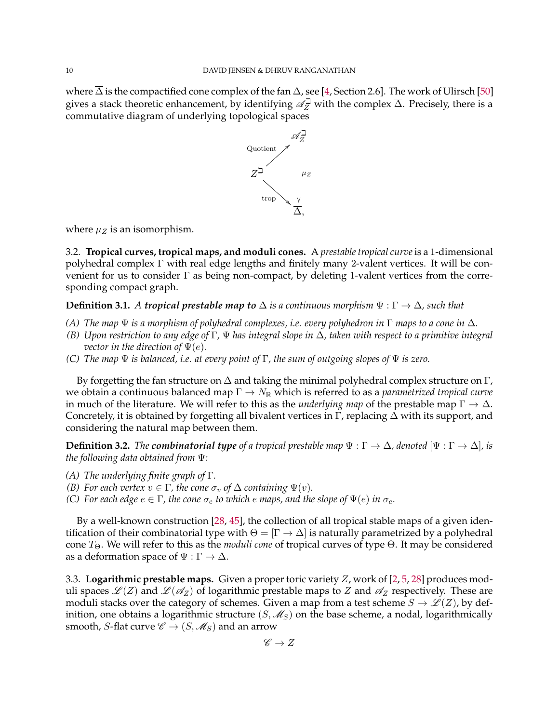where  $\Delta$  is the compactified cone complex of the fan  $\Delta$ , see [\[4,](#page-31-12) Section 2.6]. The work of Ulirsch [\[50\]](#page-32-29) gives a stack theoretic enhancement, by identifying  $\mathscr{A}_{Z}^{\square}$  with the complex  $\overline{\Delta}$ . Precisely, there is a commutative diagram of underlying topological spaces



where  $\mu_Z$  is an isomorphism.

3.2. **Tropical curves, tropical maps, and moduli cones.** A *prestable tropical curve*is a 1-dimensional polyhedral complex Γ with real edge lengths and finitely many 2-valent vertices. It will be convenient for us to consider Γ as being non-compact, by deleting 1-valent vertices from the corresponding compact graph.

## **Definition 3.1.** *A tropical prestable map to*  $\Delta$  *is a continuous morphism*  $\Psi : \Gamma \to \Delta$ *, such that*

- *(A) The map* Ψ *is a morphism of polyhedral complexes, i.e. every polyhedron in* Γ *maps to a cone in* ∆*.*
- *(B) Upon restriction to any edge of* Γ*,* Ψ *has integral slope in* ∆*, taken with respect to a primitive integral vector in the direction of*  $\Psi(e)$ *.*
- *(C) The map* Ψ *is balanced, i.e. at every point of* Γ*, the sum of outgoing slopes of* Ψ *is zero.*

By forgetting the fan structure on  $\Delta$  and taking the minimal polyhedral complex structure on  $\Gamma$ , we obtain a continuous balanced map Γ  $\rightarrow$  N<sub>R</sub> which is referred to as a *parametrized tropical curve* in much of the literature. We will refer to this as the *underlying map* of the prestable map  $\Gamma \to \Delta$ . Concretely, it is obtained by forgetting all bivalent vertices in Γ, replacing  $\Delta$  with its support, and considering the natural map between them.

**Definition 3.2.** *The combinatorial type of a tropical prestable map*  $\Psi : \Gamma \to \Delta$ *, denoted*  $[\Psi : \Gamma \to \Delta]$ *, is the following data obtained from* Ψ*:*

- *(A) The underlying finite graph of* Γ*.*
- *(B) For each vertex*  $v \in \Gamma$ *, the cone*  $\sigma_v$  *of*  $\Delta$  *containing*  $\Psi(v)$ *.*
- <span id="page-9-1"></span>*(C) For each edge*  $e \in \Gamma$ *, the cone*  $\sigma_e$  *to which e maps, and the slope of*  $\Psi(e)$  *in*  $\sigma_e$ *.*

By a well-known construction [\[28,](#page-32-28) [45\]](#page-32-18), the collection of all tropical stable maps of a given identification of their combinatorial type with  $\Theta = [\Gamma \to \Delta]$  is naturally parametrized by a polyhedral cone TΘ. We will refer to this as the *moduli cone* of tropical curves of type Θ. It may be considered as a deformation space of  $\Psi : \Gamma \to \Delta$ .

<span id="page-9-0"></span>3.3. **Logarithmic prestable maps.** Given a proper toric variety Z, work of [\[2,](#page-31-10) [5,](#page-31-13) [28\]](#page-32-28) produces moduli spaces  $\mathcal{L}(Z)$  and  $\mathcal{L}(\mathcal{A}_Z)$  of logarithmic prestable maps to Z and  $\mathcal{A}_Z$  respectively. These are moduli stacks over the category of schemes. Given a map from a test scheme  $S \to \mathscr{L}(Z)$ , by definition, one obtains a logarithmic structure  $(S, \mathcal{M}_S)$  on the base scheme, a nodal, logarithmically smooth, *S*-flat curve  $\mathscr{C} \to (S, \mathscr{M}_S)$  and an arrow

 $\mathscr{C} \to Z$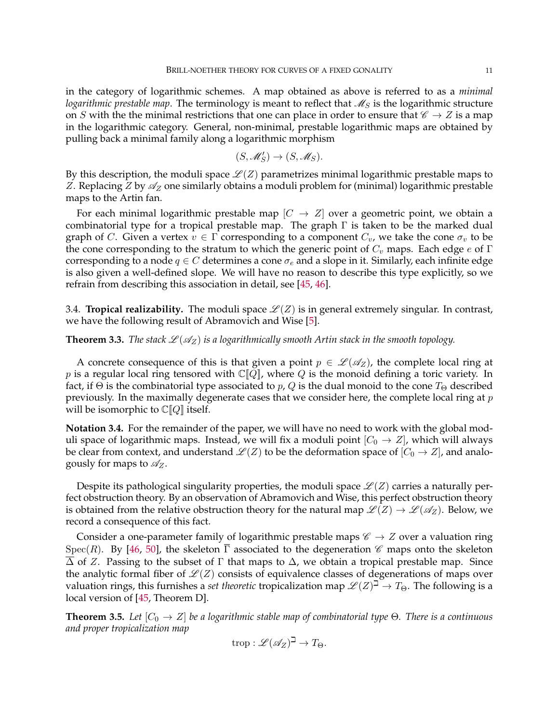in the category of logarithmic schemes. A map obtained as above is referred to as a *minimal logarithmic prestable map*. The terminology is meant to reflect that  $\mathcal{M}_S$  is the logarithmic structure on S with the the minimal restrictions that one can place in order to ensure that  $\mathscr{C} \to Z$  is a map in the logarithmic category. General, non-minimal, prestable logarithmic maps are obtained by pulling back a minimal family along a logarithmic morphism

$$
(S, \mathcal{M}'_S) \to (S, \mathcal{M}_S).
$$

By this description, the moduli space  $\mathcal{L}(Z)$  parametrizes minimal logarithmic prestable maps to Z. Replacing Z by  $\mathscr{A}_Z$  one similarly obtains a moduli problem for (minimal) logarithmic prestable maps to the Artin fan.

For each minimal logarithmic prestable map  $|C \to Z|$  over a geometric point, we obtain a combinatorial type for a tropical prestable map. The graph Γ is taken to be the marked dual graph of C. Given a vertex  $v \in \Gamma$  corresponding to a component  $C_v$ , we take the cone  $\sigma_v$  to be the cone corresponding to the stratum to which the generic point of  $C_v$  maps. Each edge e of Γ corresponding to a node  $q \in C$  determines a cone  $\sigma_e$  and a slope in it. Similarly, each infinite edge is also given a well-defined slope. We will have no reason to describe this type explicitly, so we refrain from describing this association in detail, see [\[45,](#page-32-18) [46\]](#page-32-21).

<span id="page-10-0"></span>3.4. **Tropical realizability.** The moduli space  $\mathcal{L}(Z)$  is in general extremely singular. In contrast, we have the following result of Abramovich and Wise [\[5\]](#page-31-13).

**Theorem 3.3.** *The stack*  $\mathcal{L}(\mathcal{A}_Z)$  *is a logarithmically smooth Artin stack in the smooth topology.* 

A concrete consequence of this is that given a point  $p \in \mathcal{L}(\mathcal{A}_Z)$ , the complete local ring at p is a regular local ring tensored with  $\mathbb{C}[Q]$ , where Q is the monoid defining a toric variety. In fact, if  $\Theta$  is the combinatorial type associated to p, Q is the dual monoid to the cone  $T_{\Theta}$  described previously. In the maximally degenerate cases that we consider here, the complete local ring at  $p$ will be isomorphic to  $\mathbb{C}[Q]$  itself.

<span id="page-10-1"></span>**Notation 3.4.** For the remainder of the paper, we will have no need to work with the global moduli space of logarithmic maps. Instead, we will fix a moduli point  $[C_0 \rightarrow Z]$ , which will always be clear from context, and understand  $\mathcal{L}(Z)$  to be the deformation space of  $[C_0 \rightarrow Z]$ , and analogously for maps to  $\mathscr{A}_Z$ .

Despite its pathological singularity properties, the moduli space  $\mathscr{L}(Z)$  carries a naturally perfect obstruction theory. By an observation of Abramovich and Wise, this perfect obstruction theory is obtained from the relative obstruction theory for the natural map  $\mathcal{L}(Z) \to \mathcal{L}(\mathcal{A}_Z)$ . Below, we record a consequence of this fact.

Consider a one-parameter family of logarithmic prestable maps  $\mathscr{C} \to Z$  over a valuation ring Spec(R). By [\[46,](#page-32-21) [50\]](#page-32-29), the skeleton  $\overline{\Gamma}$  associated to the degeneration  $\mathscr C$  maps onto the skeleton  $\overline{\Delta}$  of Z. Passing to the subset of  $\Gamma$  that maps to  $\Delta$ , we obtain a tropical prestable map. Since the analytic formal fiber of  $\mathcal{L}(Z)$  consists of equivalence classes of degenerations of maps over valuation rings, this furnishes a *set theoretic* tropicalization map  $\mathscr{L}(Z)^{\beth} \to T_{\Theta}$ . The following is a local version of [\[45,](#page-32-18) Theorem D].

**Theorem 3.5.** *Let*  $[C_0 \rightarrow Z]$  *be a logarithmic stable map of combinatorial type*  $\Theta$ *. There is a continuous and proper tropicalization map*

$$
\operatorname{trop}: \mathscr{L}(\mathscr{A}_Z)^\beth \to T_\Theta.
$$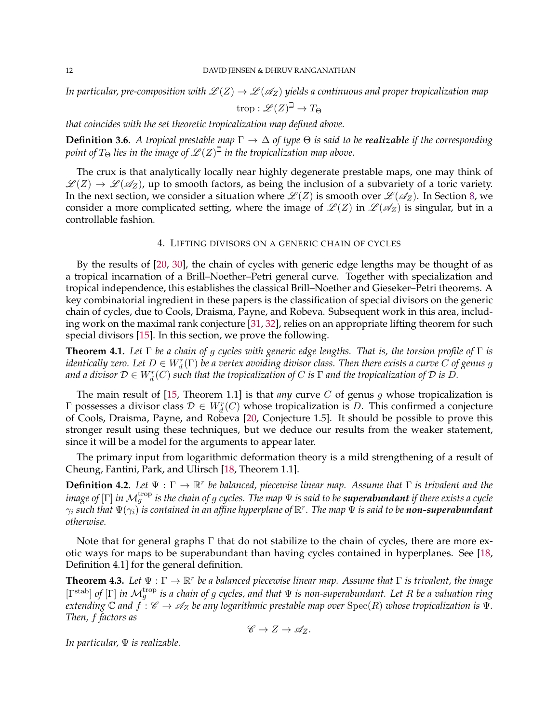*In particular, pre-composition with*  $\mathcal{L}(Z) \to \mathcal{L}(\mathscr{A}_Z)$  *yields a continuous and proper tropicalization map* 

$$
\operatorname{trop}: \mathscr{L}(Z)^\beth \to T_\Theta
$$

*that coincides with the set theoretic tropicalization map defined above.*

**Definition 3.6.** *A tropical prestable map*  $\Gamma \to \Delta$  *of type*  $\Theta$  *is said to be realizable if the corresponding* point of T $_{\Theta}$  lies in the image of  $\mathscr{L}(Z)^{\beth}$  in the tropicalization map above.

The crux is that analytically locally near highly degenerate prestable maps, one may think of  $\mathscr{L}(Z) \to \mathscr{L}(\mathscr{A}_Z)$ , up to smooth factors, as being the inclusion of a subvariety of a toric variety. In the next section, we consider a situation where  $\mathcal{L}(Z)$  is smooth over  $\mathcal{L}(\mathcal{A}_Z)$ . In Section [8,](#page-23-0) we consider a more complicated setting, where the image of  $\mathcal{L}(Z)$  in  $\mathcal{L}(\mathcal{A}_Z)$  is singular, but in a controllable fashion.

## 4. LIFTING DIVISORS ON A GENERIC CHAIN OF CYCLES

<span id="page-11-1"></span>By the results of [\[20,](#page-32-1) [30\]](#page-32-24), the chain of cycles with generic edge lengths may be thought of as a tropical incarnation of a Brill–Noether–Petri general curve. Together with specialization and tropical independence, this establishes the classical Brill–Noether and Gieseker–Petri theorems. A key combinatorial ingredient in these papers is the classification of special divisors on the generic chain of cycles, due to Cools, Draisma, Payne, and Robeva. Subsequent work in this area, including work on the maximal rank conjecture [\[31,](#page-32-25) [32\]](#page-32-26), relies on an appropriate lifting theorem for such special divisors [\[15\]](#page-31-6). In this section, we prove the following.

<span id="page-11-0"></span>**Theorem 4.1.** *Let* Γ *be a chain of* g *cycles with generic edge lengths. That is, the torsion profile of* Γ *is* identically zero. Let  $D\in W^r_d(\Gamma)$  be a vertex avoiding divisor class. Then there exists a curve  $C$  of genus  $g$ and a divisor  $\mathcal{D}\in W^r_d(C)$  such that the tropicalization of  $C$  is  $\Gamma$  and the tropicalization of  $\mathcal D$  is  $D.$ 

The main result of [\[15,](#page-31-6) Theorem 1.1] is that *any* curve C of genus g whose tropicalization is Γ possesses a divisor class  $\mathcal{D} \in W^r_d(C)$  whose tropicalization is D. This confirmed a conjecture of Cools, Draisma, Payne, and Robeva [\[20,](#page-32-1) Conjecture 1.5]. It should be possible to prove this stronger result using these techniques, but we deduce our results from the weaker statement, since it will be a model for the arguments to appear later.

The primary input from logarithmic deformation theory is a mild strengthening of a result of Cheung, Fantini, Park, and Ulirsch [\[18,](#page-32-14) Theorem 1.1].

<span id="page-11-3"></span>**Definition 4.2.** Let  $\Psi$  : Γ →  $\mathbb{R}^r$  be balanced, piecewise linear map. Assume that Γ is trivalent and the *image of* [Γ] *in*  $\mathcal{M}_g^{\text{trop}}$  *is the chain of g cycles. The map*  $\Psi$  *is said to be <code>superabundant</code> if there exists a cycle*  $\gamma_i$  such that  $\Psi(\gamma_i)$  is contained in an affine hyperplane of  $\R^r.$  The map  $\Psi$  is said to be **non-superabundant** *otherwise.*

Note that for general graphs  $\Gamma$  that do not stabilize to the chain of cycles, there are more exotic ways for maps to be superabundant than having cycles contained in hyperplanes. See [\[18,](#page-32-14) Definition 4.1] for the general definition.

<span id="page-11-2"></span>**Theorem 4.3.** Let  $\Psi : \Gamma \to \mathbb{R}^r$  be a balanced piecewise linear map. Assume that  $\Gamma$  is trivalent, the image [ $\Gamma^{\text{stab}}$ ] *of* [ $\Gamma$ ] *in*  $\mathcal{M}_g^{\text{trop}}$  *is a chain of g cycles, and that*  $\Psi$  *is non-superabundant. Let R be a valuation ring extending*  $\mathbb C$  *and*  $f : \mathscr C \to \mathscr A_Z$  *be any logarithmic prestable map over*  $\text{Spec}(R)$  *whose tropicalization is*  $\Psi$ *. Then,* f *factors as*

 $\mathscr{C} \to Z \to \mathscr{A}_Z$ .

*In particular,* Ψ *is realizable.*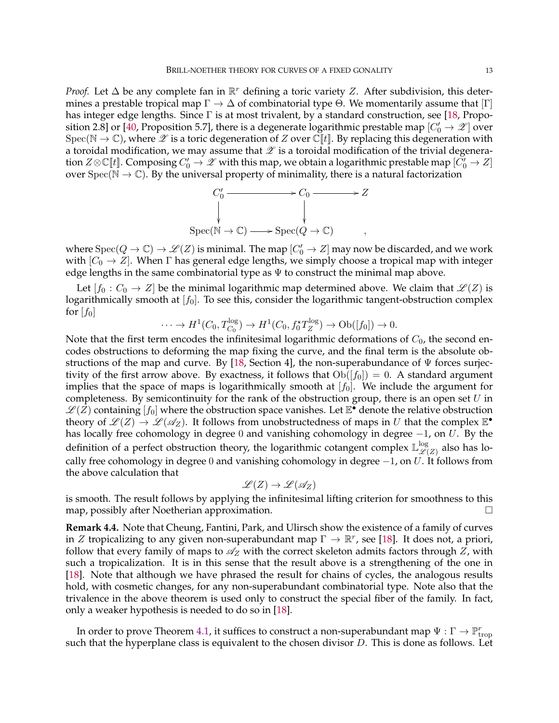*Proof.* Let  $\Delta$  be any complete fan in  $\mathbb{R}^r$  defining a toric variety Z. After subdivision, this determines a prestable tropical map  $\Gamma \to \Delta$  of combinatorial type  $\Theta$ . We momentarily assume that  $[\Gamma]$ has integer edge lengths. Since  $\Gamma$  is at most trivalent, by a standard construction, see [\[18,](#page-32-14) Propo-sition 2.8] or [\[40,](#page-32-20) Proposition 5.7], there is a degenerate logarithmic prestable map  $[C_0' \to \mathscr{Z}]$  over Spec( $\mathbb{N} \to \mathbb{C}$ ), where  $\mathscr{Z}$  is a toric degeneration of Z over  $\mathbb{C}[[t]]$ . By replacing this degeneration with a toroidal modification, we may assume that  $\mathscr X$  is a toroidal modification of the trivial degeneration  $Z\otimes \Bbb C[\![t]\!].$  Composing  $C'_0\to \mathscr{Z}$  with this map, we obtain a logarithmic prestable map  $[\check{C}'_0\to Z]$ over Spec( $\mathbb{N} \to \mathbb{C}$ ). By the universal property of minimality, there is a natural factorization



where  ${\rm Spec}(Q \to \mathbb{C}) \to \mathscr{L}(Z)$  is minimal. The map  $[C'_0 \to Z]$  may now be discarded, and we work with  $[C_0 \rightarrow Z]$ . When  $\Gamma$  has general edge lengths, we simply choose a tropical map with integer edge lengths in the same combinatorial type as  $\Psi$  to construct the minimal map above.

Let  $[f_0 : C_0 \to Z]$  be the minimal logarithmic map determined above. We claim that  $\mathscr{L}(Z)$  is logarithmically smooth at  $[f_0]$ . To see this, consider the logarithmic tangent-obstruction complex for  $[f_0]$ 

$$
\cdots \to H^1(C_0, T_{C_0}^{\log}) \to H^1(C_0, f_0^{\star} T_Z^{\log}) \to Ob([f_0]) \to 0.
$$

Note that the first term encodes the infinitesimal logarithmic deformations of  $C_0$ , the second encodes obstructions to deforming the map fixing the curve, and the final term is the absolute ob-structions of the map and curve. By [\[18,](#page-32-14) Section 4], the non-superabundance of  $\Psi$  forces surjectivity of the first arrow above. By exactness, it follows that  $Ob([f_0]) = 0$ . A standard argument implies that the space of maps is logarithmically smooth at  $[f_0]$ . We include the argument for completeness. By semicontinuity for the rank of the obstruction group, there is an open set  $U$  in  $\mathscr{L}(\vec{Z})$  containing  $[f_0]$  where the obstruction space vanishes. Let  $\mathbb{E}^{\bullet}$  denote the relative obstruction theory of  $\mathscr{L}(Z) \to \mathscr{L}(\mathscr{A}_Z)$ . It follows from unobstructedness of maps in U that the complex  $\mathbb{E}^{\bullet}$ has locally free cohomology in degree 0 and vanishing cohomology in degree  $-1$ , on  $U$ . By the definition of a perfect obstruction theory, the logarithmic cotangent complex  $\mathbb{L}^{\log}_{\mathscr{L}_{\ell}}$  $\mathcal{L}(Z)$  also has locally free cohomology in degree 0 and vanishing cohomology in degree  $-1$ , on U. It follows from the above calculation that

$$
\mathscr{L}(Z) \to \mathscr{L}(\mathscr{A}_Z)
$$

is smooth. The result follows by applying the infinitesimal lifting criterion for smoothness to this map, possibly after Noetherian approximation.

<span id="page-12-0"></span>**Remark 4.4.** Note that Cheung, Fantini, Park, and Ulirsch show the existence of a family of curves in Z tropicalizing to any given non-superabundant map  $\Gamma \to \mathbb{R}^r$ , see [\[18\]](#page-32-14). It does not, a priori, follow that every family of maps to  $\mathcal{A}_Z$  with the correct skeleton admits factors through Z, with such a tropicalization. It is in this sense that the result above is a strengthening of the one in [\[18\]](#page-32-14). Note that although we have phrased the result for chains of cycles, the analogous results hold, with cosmetic changes, for any non-superabundant combinatorial type. Note also that the trivalence in the above theorem is used only to construct the special fiber of the family. In fact, only a weaker hypothesis is needed to do so in [\[18\]](#page-32-14).

In order to prove Theorem [4.1,](#page-11-0) it suffices to construct a non-superabundant map  $\Psi : \Gamma \to \mathbb{P}^r_{\text{trop}}$ such that the hyperplane class is equivalent to the chosen divisor  $D$ . This is done as follows. Let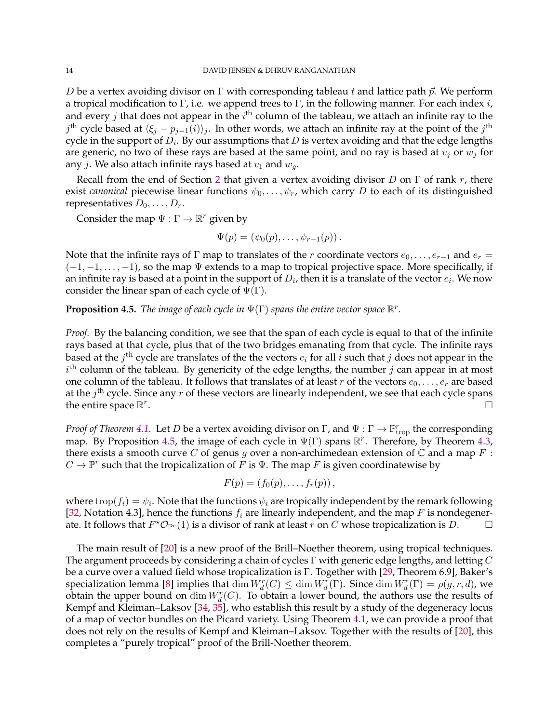D be a vertex avoiding divisor on  $\Gamma$  with corresponding tableau t and lattice path  $\vec{p}$ . We perform a tropical modification to Γ, i.e. we append trees to Γ, in the following manner. For each index  $i$ , and every  $j$  that does not appear in the  $i^{\text{th}}$  column of the tableau, we attach an infinite ray to the  $j^{\text{th}}$  cycle based at  $\langle \xi_j - p_{j-1}(i) \rangle_j$ . In other words, we attach an infinite ray at the point of the  $j^{\text{th}}$ cycle in the support of  $D_i.$  By our assumptions that  $D$  is vertex avoiding and that the edge lengths are generic, no two of these rays are based at the same point, and no ray is based at  $v_j$  or  $w_j$  for any *j*. We also attach infinite rays based at  $v_1$  and  $w_q$ .

Recall from the end of Section [2](#page-5-0) that given a vertex avoiding divisor D on  $\Gamma$  of rank r, there exist *canonical* piecewise linear functions  $\psi_0, \dots, \psi_r$ , which carry D to each of its distinguished representatives  $D_0, \ldots, D_r$ .

Consider the map  $\Psi : \Gamma \to \mathbb{R}^r$  given by

$$
\Psi(p)=(\psi_0(p),\ldots,\psi_{r-1}(p)).
$$

Note that the infinite rays of  $\Gamma$  map to translates of the r coordinate vectors  $e_0, \ldots, e_{r-1}$  and  $e_r =$  $(-1, -1, \ldots, -1)$ , so the map  $\Psi$  extends to a map to tropical projective space. More specifically, if an infinite ray is based at a point in the support of  $D_i$ , then it is a translate of the vector  $e_i.$  We now consider the linear span of each cycle of  $\Psi(\Gamma)$ .

<span id="page-13-0"></span>**Proposition 4.5.** *The image of each cycle in*  $\Psi(\Gamma)$  *spans the entire vector space*  $\mathbb{R}^r$ *.* 

*Proof.* By the balancing condition, we see that the span of each cycle is equal to that of the infinite rays based at that cycle, plus that of the two bridges emanating from that cycle. The infinite rays based at the  $j^{\text{th}}$  cycle are translates of the the vectors  $e_i$  for all  $i$  such that  $j$  does not appear in the  $i<sup>th</sup>$  column of the tableau. By genericity of the edge lengths, the number j can appear in at most one column of the tableau. It follows that translates of at least  $r$  of the vectors  $e_0, \ldots, e_r$  are based at the  $j<sup>th</sup>$  cycle. Since any  $r$  of these vectors are linearly independent, we see that each cycle spans the entire space  $\mathbb{R}^r$ .

*Proof of Theorem [4.1.](#page-11-0)* Let D be a vertex avoiding divisor on  $\Gamma$ , and  $\Psi : \Gamma \to \mathbb{P}^r_{\text{trop}}$  the corresponding map. By Proposition [4.5,](#page-13-0) the image of each cycle in  $\Psi(\Gamma)$  spans  $\mathbb{R}^r$ . Therefore, by Theorem [4.3,](#page-11-2) there exists a smooth curve C of genus g over a non-archimedean extension of  $\mathbb C$  and a map  $F$ :  $C \to \mathbb{P}^r$  such that the tropicalization of  $F$  is  $\Psi$ . The map  $F$  is given coordinatewise by

$$
F(p) = (f_0(p), \ldots, f_r(p)),
$$

where  $\text{trop}(f_i) = \psi_i$ . Note that the functions  $\psi_i$  are tropically independent by the remark following [\[32,](#page-32-26) Notation 4.3], hence the functions  $f_i$  are linearly independent, and the map F is nondegenerate. It follows that  $F^*{\cal O}_{\mathbb P^r}(1)$  is a divisor of rank at least r on  $C$  whose tropicalization is  $D.$   $\Box$ 

The main result of [\[20\]](#page-32-1) is a new proof of the Brill–Noether theorem, using tropical techniques. The argument proceeds by considering a chain of cycles  $\Gamma$  with generic edge lengths, and letting  $C$ be a curve over a valued field whose tropicalization is Γ. Together with [\[29,](#page-32-31) Theorem 6.9], Baker's specialization lemma [\[8\]](#page-31-2) implies that  $\dim W_d^r(C) \leq \dim W_d^r(\Gamma)$ . Since  $\dim W_d^r(\Gamma) = \rho(g, r, d)$ , we obtain the upper bound on  $\dim W_d^r(C)$ . To obtain a lower bound, the authors use the results of Kempf and Kleiman–Laksov [\[34,](#page-32-12) [35\]](#page-32-13), who establish this result by a study of the degeneracy locus of a map of vector bundles on the Picard variety. Using Theorem [4.1,](#page-11-0) we can provide a proof that does not rely on the results of Kempf and Kleiman–Laksov. Together with the results of [\[20\]](#page-32-1), this completes a "purely tropical" proof of the Brill-Noether theorem.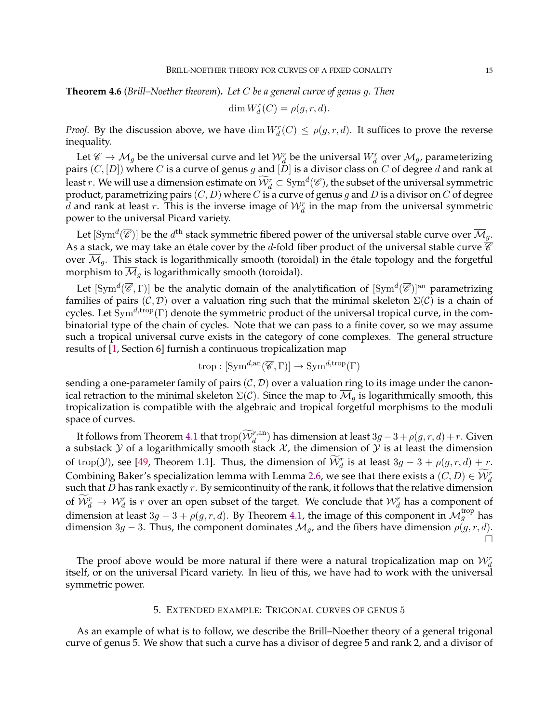<span id="page-14-0"></span>**Theorem 4.6** (*Brill–Noether theorem*)**.** *Let* C *be a general curve of genus* g*. Then*

$$
\dim W_d^r(C) = \rho(g, r, d).
$$

*Proof.* By the discussion above, we have  $\dim W_d^r(C) \le \rho(g, r, d)$ . It suffices to prove the reverse inequality.

Let  $\mathscr{C} \to \mathcal{M}_g$  be the universal curve and let  $\mathcal{W}^r_d$  be the universal  $W^r_d$  over  $\mathcal{M}_g$ , parameterizing pairs  $(C, [D])$  where C is a curve of genus g and  $[D]$  is a divisor class on C of degree d and rank at least r. We will use a dimension estimate on  $\widetilde{W}_d^r \subset \text{Sym}^d(\mathscr{C})$ , the subset of the universal symmetric product, parametrizing pairs  $(C, D)$  where C is a curve of genus g and D is a divisor on C of degree d and rank at least r. This is the inverse image of  $\mathcal{W}_d^r$  in the map from the universal symmetric power to the universal Picard variety.

Let  $[\mathrm{Sym}^d(\overline{\mathscr{C}})]$  be the  $d^\mathrm{th}$  stack symmetric fibered power of the universal stable curve over  $\overline{\mathcal M}_g$ . As a stack, we may take an étale cover by the d-fold fiber product of the universal stable curve  $\overline{\mathscr{C}}$ over  $\mathcal{M}_g$ . This stack is logarithmically smooth (toroidal) in the étale topology and the forgetful morphism to  $\mathcal{M}_q$  is logarithmically smooth (toroidal).

Let  $[\mathrm{Sym}^d(\overline{\mathscr{C}},\Gamma)]$  be the analytic domain of the analytification of  $[\mathrm{Sym}^d(\overline{\mathscr{C}})]^{\mathrm{an}}$  parametrizing families of pairs  $(C, D)$  over a valuation ring such that the minimal skeleton  $\Sigma(C)$  is a chain of cycles. Let  $Sym^{d, \text{trop}}(\Gamma)$  denote the symmetric product of the universal tropical curve, in the combinatorial type of the chain of cycles. Note that we can pass to a finite cover, so we may assume such a tropical universal curve exists in the category of cone complexes. The general structure results of [\[1,](#page-31-14) Section 6] furnish a continuous tropicalization map

$$
\operatorname{trop}: [\operatorname{Sym}^{d,\operatorname{an}}(\overline{\mathscr{C}},\Gamma)] \to \operatorname{Sym}^{d,\operatorname{trop}}(\Gamma)
$$

sending a one-parameter family of pairs  $(C, D)$  over a valuation ring to its image under the canonical retraction to the minimal skeleton  $\Sigma(\mathcal{C})$ . Since the map to  $\overline{\mathcal{M}}_g$  is logarithmically smooth, this tropicalization is compatible with the algebraic and tropical forgetful morphisms to the moduli space of curves.

It follows from Theorem [4.1](#page-11-0) that trop $(\widetilde{W}_d^{r,an})$  has dimension at least  $3g-3+\rho(g,r,d)+r$ . Given a substack  $Y$  of a logarithmically smooth stack  $X$ , the dimension of  $Y$  is at least the dimension of trop( $Y$ ), see [\[49,](#page-32-32) Theorem 1.1]. Thus, the dimension of  $\widetilde{W}_d^r$  is at least  $3g - 3 + \rho(g, r, d) + r$ . Combining Baker's specialization lemma with Lemma [2.6,](#page-8-1) we see that there exists a  $(C, D) \in \widetilde{\mathcal{W}}_d^r$ such that  $D$  has rank exactly  $r$ . By semicontinuity of the rank, it follows that the relative dimension of  $\widetilde{\mathcal{W}}_d^r \to \mathcal{W}_d^r$  is r over an open subset of the target. We conclude that  $\mathcal{W}_d^r$  has a component of dimension at least  $3g - 3 + \rho(g, r, d)$ . By Theorem [4.1,](#page-11-0) the image of this component in  $\mathcal{M}_g^{\text{trop}}$  has dimension 3g − 3. Thus, the component dominates  $\mathcal{M}_g$ , and the fibers have dimension  $\rho(g, r, d)$ .  $\Box$ 

The proof above would be more natural if there were a natural tropicalization map on  $\mathcal{W}^r_d$ itself, or on the universal Picard variety. In lieu of this, we have had to work with the universal symmetric power.

#### 5. EXTENDED EXAMPLE: TRIGONAL CURVES OF GENUS 5

<span id="page-14-1"></span>As an example of what is to follow, we describe the Brill–Noether theory of a general trigonal curve of genus 5. We show that such a curve has a divisor of degree 5 and rank 2, and a divisor of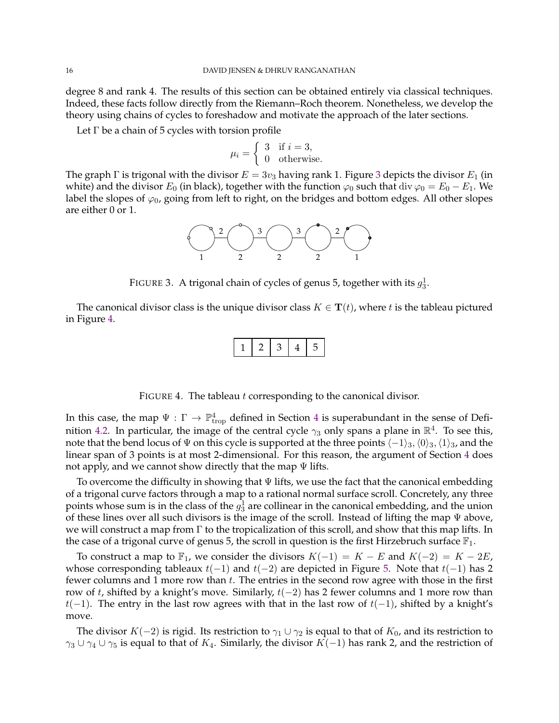degree 8 and rank 4. The results of this section can be obtained entirely via classical techniques. Indeed, these facts follow directly from the Riemann–Roch theorem. Nonetheless, we develop the theory using chains of cycles to foreshadow and motivate the approach of the later sections.

Let  $\Gamma$  be a chain of 5 cycles with torsion profile

$$
\mu_i = \left\{ \begin{array}{ll} 3 & \text{if } i = 3, \\ 0 & \text{otherwise.} \end{array} \right.
$$

The graph  $\Gamma$  is trigonal with the divisor  $E = 3v_3$  $E = 3v_3$  $E = 3v_3$  having rank 1. Figure 3 depicts the divisor  $E_1$  (in white) and the divisor  $E_0$  (in black), together with the function  $\varphi_0$  such that div  $\varphi_0 = E_0 - E_1$ . We label the slopes of  $\varphi_0$ , going from left to right, on the bridges and bottom edges. All other slopes are either 0 or 1.



<span id="page-15-0"></span>FIGURE 3. A trigonal chain of cycles of genus 5, together with its  $g_3^1$ .

The canonical divisor class is the unique divisor class  $K \in \mathbf{T}(t)$ , where t is the tableau pictured in Figure [4.](#page-15-1)

|--|--|--|

<span id="page-15-1"></span>FIGURE 4. The tableau t corresponding to the canonical divisor.

In this case, the map  $\Psi : \Gamma \to \mathbb{P}^4_\text{trop}$  $\Psi : \Gamma \to \mathbb{P}^4_\text{trop}$  $\Psi : \Gamma \to \mathbb{P}^4_\text{trop}$  defined in Section 4 is superabundant in the sense of Defi-nition [4.2.](#page-11-3) In particular, the image of the central cycle  $\gamma_3$  only spans a plane in  $\mathbb{R}^4$ . To see this, note that the bend locus of  $\Psi$  on this cycle is supported at the three points  $\langle -1\rangle_3$ ,  $\langle 0\rangle_3$ ,  $\langle 1\rangle_3$ , and the linear span of 3 points is at most 2-dimensional. For this reason, the argument of Section [4](#page-11-1) does not apply, and we cannot show directly that the map  $\Psi$  lifts.

To overcome the difficulty in showing that Ψ lifts, we use the fact that the canonical embedding of a trigonal curve factors through a map to a rational normal surface scroll. Concretely, any three points whose sum is in the class of the  $g_3^1$  are collinear in the canonical embedding, and the union of these lines over all such divisors is the image of the scroll. Instead of lifting the map  $\Psi$  above, we will construct a map from  $\Gamma$  to the tropicalization of this scroll, and show that this map lifts. In the case of a trigonal curve of genus 5, the scroll in question is the first Hirzebruch surface  $\mathbb{F}_1$ .

To construct a map to  $\mathbb{F}_1$ , we consider the divisors  $K(-1) = K - E$  and  $K(-2) = K - 2E$ , whose corresponding tableaux  $t(-1)$  and  $t(-2)$  are depicted in Figure [5.](#page-16-0) Note that  $t(-1)$  has 2 fewer columns and 1 more row than  $t$ . The entries in the second row agree with those in the first row of t, shifted by a knight's move. Similarly,  $t(-2)$  has 2 fewer columns and 1 more row than  $t(-1)$ . The entry in the last row agrees with that in the last row of  $t(-1)$ , shifted by a knight's move.

The divisor  $K(-2)$  is rigid. Its restriction to  $\gamma_1 \cup \gamma_2$  is equal to that of  $K_0$ , and its restriction to  $\gamma_3 \cup \gamma_4 \cup \gamma_5$  is equal to that of  $K_4$ . Similarly, the divisor  $K(-1)$  has rank 2, and the restriction of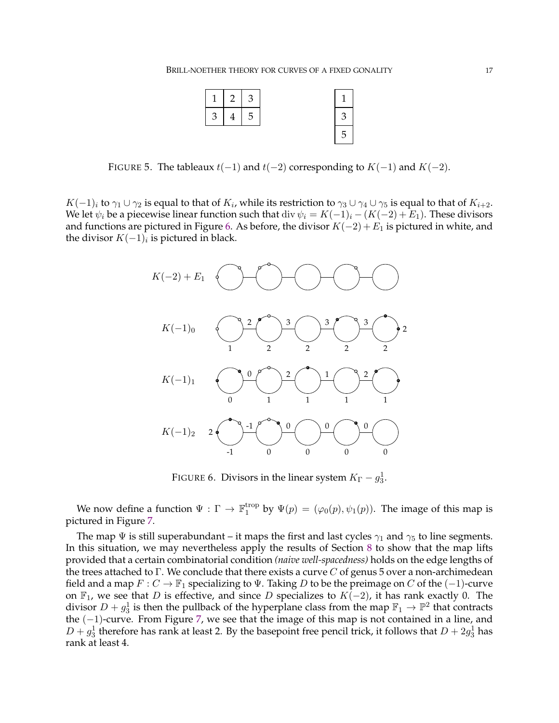

<span id="page-16-0"></span>FIGURE 5. The tableaux  $t(-1)$  and  $t(-2)$  corresponding to  $K(-1)$  and  $K(-2)$ .

 $K(-1)_i$  to  $\gamma_1\cup\gamma_2$  is equal to that of  $K_i$ , while its restriction to  $\gamma_3\cup\gamma_4\cup\gamma_5$  is equal to that of  $K_{i+2}.$ We let  $\psi_i$  be a piecewise linear function such that div  $\psi_i = K(-1)_i - (K(-2) + E_1)$ . These divisors and functions are pictured in Figure [6.](#page-16-1) As before, the divisor  $K(-2) + E_1$  is pictured in white, and the divisor  $K(-1)_i$  is pictured in black.



<span id="page-16-1"></span>FIGURE 6. Divisors in the linear system  $K_{\Gamma} - g_3^1$ .

We now define a function  $\Psi : \Gamma \to \mathbb{F}_1^{\text{trop}}$  $\mathcal{L}_1^{\text{trop}}$  by  $\Psi(p) = (\varphi_0(p), \psi_1(p))$ . The image of this map is pictured in Figure [7.](#page-17-1)

The map  $\Psi$  is still superabundant – it maps the first and last cycles  $\gamma_1$  and  $\gamma_5$  to line segments. In this situation, we may nevertheless apply the results of Section [8](#page-23-0) to show that the map lifts provided that a certain combinatorial condition *(naive well-spacedness)* holds on the edge lengths of the trees attached to  $\Gamma$ . We conclude that there exists a curve C of genus 5 over a non-archimedean field and a map  $F: C \to \mathbb{F}_1$  specializing to  $\Psi$ . Taking D to be the preimage on C of the (-1)-curve on  $\mathbb{F}_1$ , we see that D is effective, and since D specializes to  $K(-2)$ , it has rank exactly 0. The divisor  $D + g_3^1$  is then the pullback of the hyperplane class from the map  $\mathbb{F}_1 \to \mathbb{P}^2$  that contracts the (−1)-curve. From Figure [7,](#page-17-1) we see that the image of this map is not contained in a line, and  $D + g_3^1$  therefore has rank at least 2. By the basepoint free pencil trick, it follows that  $D + 2g_3^1$  has rank at least 4.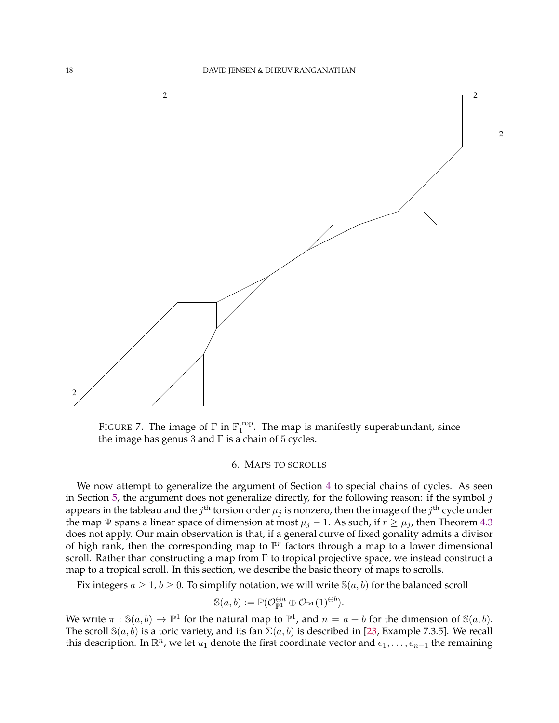

<span id="page-17-1"></span>FIGURE 7. The image of  $\Gamma$  in  $\mathbb{F}_1^{\text{trop}}$  $_1^{\text{top}}$ . The map is manifestly superabundant, since the image has genus 3 and  $\Gamma$  is a chain of 5 cycles.

#### 6. MAPS TO SCROLLS

<span id="page-17-0"></span>We now attempt to generalize the argument of Section [4](#page-11-1) to special chains of cycles. As seen in Section [5,](#page-14-1) the argument does not generalize directly, for the following reason: if the symbol  $j$ appears in the tableau and the  $j^{\text{th}}$  torsion order  $\mu_j$  is nonzero, then the image of the  $j^{\text{th}}$  cycle under the map  $\Psi$  spans a linear space of dimension at most  $\mu_j - 1$ . As such, if  $r \ge \mu_j$ , then Theorem [4.3](#page-11-2) does not apply. Our main observation is that, if a general curve of fixed gonality admits a divisor of high rank, then the corresponding map to  $\mathbb{P}^r$  factors through a map to a lower dimensional scroll. Rather than constructing a map from Γ to tropical projective space, we instead construct a map to a tropical scroll. In this section, we describe the basic theory of maps to scrolls.

Fix integers  $a \geq 1$ ,  $b \geq 0$ . To simplify notation, we will write  $\mathbb{S}(a, b)$  for the balanced scroll

$$
\mathbb{S}(a,b):=\mathbb{P}(\mathcal{O}_{\mathbb{P}^1}^{\oplus a}\oplus \mathcal{O}_{\mathbb{P}^1}(1)^{\oplus b}).
$$

We write  $\pi : \mathbb{S}(a, b) \to \mathbb{P}^1$  for the natural map to  $\mathbb{P}^1$ , and  $n = a + b$  for the dimension of  $\mathbb{S}(a, b)$ . The scroll  $\mathbb{S}(a, b)$  is a toric variety, and its fan  $\Sigma(a, b)$  is described in [\[23,](#page-32-33) Example 7.3.5]. We recall this description. In  $\mathbb{R}^n$ , we let  $u_1$  denote the first coordinate vector and  $e_1, \ldots, e_{n-1}$  the remaining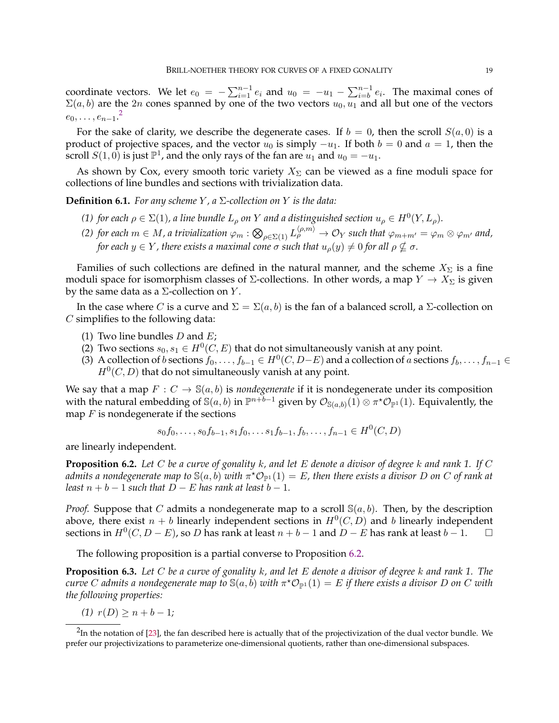coordinate vectors. We let  $e_0 = -\sum_{i=1}^{n-1} e_i$  and  $u_0 = -u_1 - \sum_{i=b}^{n-1} e_i$ . The maximal cones of  $\Sigma(a, b)$  are the 2n cones spanned by one of the two vectors  $u_0$ ,  $u_1$  and all but one of the vectors  $e_0, \ldots, e_{n-1}.^2$  $e_0, \ldots, e_{n-1}.^2$ 

For the sake of clarity, we describe the degenerate cases. If  $b = 0$ , then the scroll  $S(a, 0)$  is a product of projective spaces, and the vector  $u_0$  is simply  $-u_1$ . If both  $b = 0$  and  $a = 1$ , then the scroll  $S(1,0)$  is just  $\mathbb{P}^1$ , and the only rays of the fan are  $u_1$  and  $u_0 = -u_1$ .

As shown by Cox, every smooth toric variety  $X_{\Sigma}$  can be viewed as a fine moduli space for collections of line bundles and sections with trivialization data.

**Definition 6.1.** *For any scheme Y, a*  $\Sigma$ -collection on *Y is the data:* 

- *(1) for each*  $\rho \in \Sigma(1)$ , a line bundle  $L_{\rho}$  on Y and a distinguished section  $u_{\rho} \in H^0(Y, L_{\rho})$ .
- *(2)* for each  $m \in M$ , a trivialization  $\varphi_m : \bigotimes_{\rho \in \Sigma(1)} L^{(\rho, m)}_\rho \to \mathcal{O}_Y$  such that  $\varphi_{m+m'} = \varphi_m \otimes \varphi_{m'}$  and, *for each*  $y \in Y$ *, there exists a maximal cone*  $\sigma$  *such that*  $u_{\rho}(y) \neq 0$  *for all*  $\rho \nsubseteq \sigma$ *.*

Families of such collections are defined in the natural manner, and the scheme  $X_{\Sigma}$  is a fine moduli space for isomorphism classes of  $\Sigma$ -collections. In other words, a map  $Y \to X_{\Sigma}$  is given by the same data as a  $\Sigma$ -collection on  $Y$ .

In the case where *C* is a curve and  $\Sigma = \Sigma(a, b)$  is the fan of a balanced scroll, a Σ-collection on C simplifies to the following data:

- (1) Two line bundles  $D$  and  $E$ ;
- (2) Two sections  $s_0, s_1 \in H^0(C, E)$  that do not simultaneously vanish at any point.
- (3) A collection of b sections  $f_0, \ldots, f_{b-1} \in H^0(C, D-E)$  and a collection of a sections  $f_b, \ldots, f_{n-1} \in$  $H<sup>0</sup>(C, D)$  that do not simultaneously vanish at any point.

We say that a map  $F: C \to \mathbb{S}(a, b)$  is *nondegenerate* if it is nondegenerate under its composition with the natural embedding of  $\mathbb S(a,b)$  in  $\mathbb P^{n+\bar b-1}$  given by  $\mathcal O_{\mathbb S(a,b)}(1)\otimes\pi^\star\mathcal O_{\mathbb P^1}(1).$  Equivalently, the map  $F$  is nondegenerate if the sections

$$
s_0f_0, \ldots, s_0f_{b-1}, s_1f_0, \ldots s_1f_{b-1}, f_b, \ldots, f_{n-1} \in H^0(C, D)
$$

are linearly independent.

<span id="page-18-1"></span>**Proposition 6.2.** *Let* C *be a curve of gonality* k*, and let* E *denote a divisor of degree* k *and rank 1. If* C  $a$ dmits a nondegenerate map to  $\mathbb{S}(a,b)$  with  $\pi^\star\mathcal{O}_{\mathbb{P}^1}(1)=E$ , then there exists a divisor  $D$  on  $C$  of rank at *least*  $n + b - 1$  *such that*  $D - E$  *has rank at least*  $b - 1$ *.* 

*Proof.* Suppose that C admits a nondegenerate map to a scroll  $\mathcal{S}(a, b)$ . Then, by the description above, there exist  $n + b$  linearly independent sections in  $H^0(C, D)$  and b linearly independent sections in  $H^0(C, D - E)$ , so D has rank at least  $n + b - 1$  and  $D - E$  has rank at least  $b - 1$ . □

The following proposition is a partial converse to Proposition [6.2.](#page-18-1)

<span id="page-18-2"></span>**Proposition 6.3.** *Let* C *be a curve of gonality* k*, and let* E *denote a divisor of degree* k *and rank 1. The*  $c$ urve  $C$  admits a nondegenerate map to  $\mathbb{S}(a,b)$  with  $\pi^\star \mathcal{O}_{\mathbb{P}^1}(1)=E$  if there exists a divisor  $D$  on  $C$  with *the following properties:*

*(1)*  $r(D) \ge n + b - 1$ *;* 

<span id="page-18-0"></span> $^2$ In the notation of [\[23\]](#page-32-33), the fan described here is actually that of the projectivization of the dual vector bundle. We prefer our projectivizations to parameterize one-dimensional quotients, rather than one-dimensional subspaces.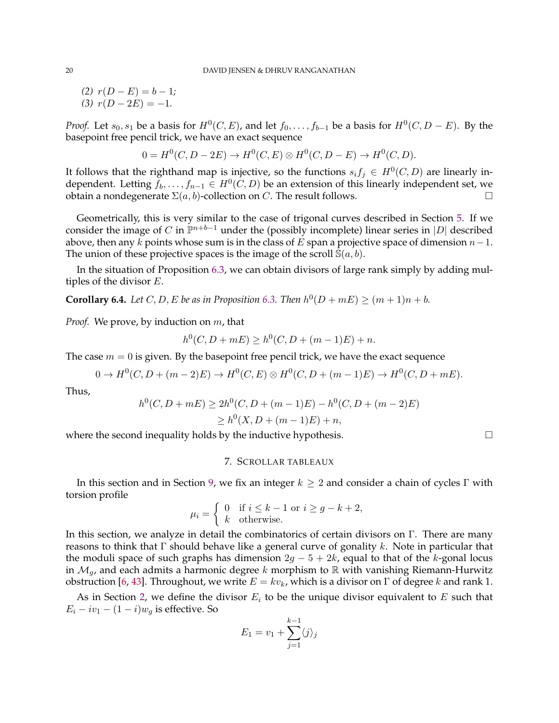$(2)$   $r(D - E) = b - 1;$  $(3)$   $r(D-2E) = -1$ .

*Proof.* Let  $s_0, s_1$  be a basis for  $H^0(C, E)$ , and let  $f_0, \ldots, f_{b-1}$  be a basis for  $H^0(C, D - E)$ . By the basepoint free pencil trick, we have an exact sequence

$$
0 = H^{0}(C, D - 2E) \to H^{0}(C, E) \otimes H^{0}(C, D - E) \to H^{0}(C, D).
$$

It follows that the righthand map is injective, so the functions  $s_i f_j \in H^0(C, D)$  are linearly independent. Letting  $f_b, \ldots, f_{n-1} \in H^0(C,D)$  be an extension of this linearly independent set, we obtain a nondegenerate  $\Sigma(a, b)$ -collection on C. The result follows.

Geometrically, this is very similar to the case of trigonal curves described in Section [5.](#page-14-1) If we consider the image of C in  $\mathbb{P}^{n+b-1}$  under the (possibly incomplete) linear series in  $|D|$  described above, then any  $k$  points whose sum is in the class of  $E$  span a projective space of dimension  $n-1$ . The union of these projective spaces is the image of the scroll  $\mathbb{S}(a, b)$ .

In the situation of Proposition [6.3,](#page-18-2) we can obtain divisors of large rank simply by adding multiples of the divisor E.

<span id="page-19-1"></span>**Corollary 6.4.** *Let*  $C, D, E$  *be as in Proposition* [6.3.](#page-18-2) *Then*  $h^0(D + mE) \ge (m + 1)n + b$ *.* 

*Proof.* We prove, by induction on m, that

$$
h^{0}(C, D + mE) \ge h^{0}(C, D + (m - 1)E) + n.
$$

The case  $m = 0$  is given. By the basepoint free pencil trick, we have the exact sequence

 $0 \to H^0(C, D + (m-2)E) \to H^0(C, E) \otimes H^0(C, D + (m-1)E) \to H^0(C, D + mE).$ 

Thus,

$$
h^{0}(C, D + mE) \ge 2h^{0}(C, D + (m - 1)E) - h^{0}(C, D + (m - 2)E)
$$
  
 
$$
\ge h^{0}(X, D + (m - 1)E) + n,
$$

<span id="page-19-0"></span>where the second inequality holds by the inductive hypothesis.  $\Box$ 

# 7. SCROLLAR TABLEAUX

In this section and in Section [9,](#page-28-0) we fix an integer  $k \geq 2$  and consider a chain of cycles Γ with torsion profile

$$
\mu_i = \begin{cases} 0 & \text{if } i \leq k - 1 \text{ or } i \geq g - k + 2, \\ k & \text{otherwise.} \end{cases}
$$

In this section, we analyze in detail the combinatorics of certain divisors on Γ. There are many reasons to think that  $\Gamma$  should behave like a general curve of gonality k. Note in particular that the moduli space of such graphs has dimension  $2g - 5 + 2k$ , equal to that of the k-gonal locus in  $\mathcal{M}_q$ , and each admits a harmonic degree k morphism to  $\mathbb R$  with vanishing Riemann-Hurwitz obstruction [\[6,](#page-31-1) [43\]](#page-32-4). Throughout, we write  $E = kv_k$ , which is a divisor on  $\Gamma$  of degree k and rank 1.

As in Section [2,](#page-5-0) we define the divisor  $E_i$  to be the unique divisor equivalent to E such that  $E_i - iv_1 - (1 - i)w_g$  is effective. So

$$
E_1 = v_1 + \sum_{j=1}^{k-1} \langle j \rangle_j
$$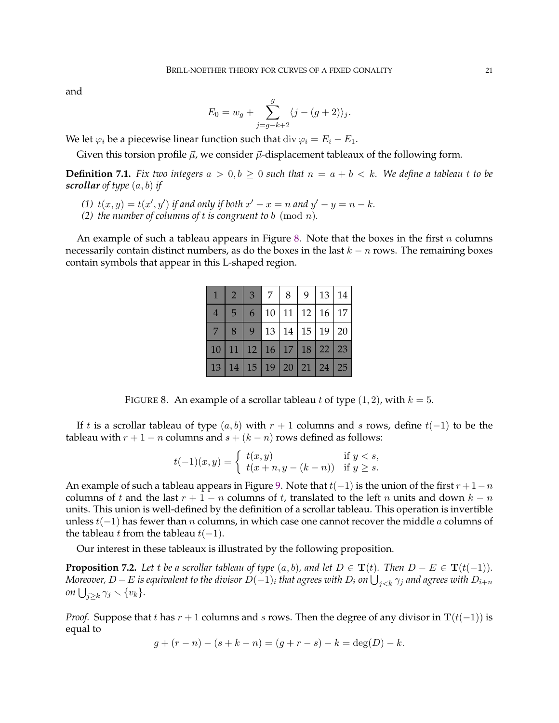and

$$
E_0 = w_g + \sum_{j=g-k+2}^{g} \langle j - (g+2) \rangle_j.
$$

We let  $\varphi_i$  be a piecewise linear function such that div  $\varphi_i = E_i - E_1$ .

Given this torsion profile  $\vec{\mu}$ , we consider  $\vec{\mu}$ -displacement tableaux of the following form.

**Definition 7.1.** Fix two integers  $a > 0, b \ge 0$  such that  $n = a + b < k$ . We define a tableau t to be *scrollar of type* (a, b) *if*

- (1)  $t(x, y) = t(x', y')$  *if and only if both*  $x' x = n$  *and*  $y' y = n k$ *.*
- *(2) the number of columns of t is congruent to b* (mod *n*).

An example of such a tableau appears in Figure [8.](#page-20-0) Note that the boxes in the first  $n$  columns necessarily contain distinct numbers, as do the boxes in the last  $k - n$  rows. The remaining boxes contain symbols that appear in this L-shaped region.

| $\mathbf{1}$   | $\sqrt{2}$     | 3 <sup>7</sup> | 7 <sup>1</sup> | 8   9   13   14                  |            |
|----------------|----------------|----------------|----------------|----------------------------------|------------|
| $\overline{4}$ | 5 <sup>5</sup> | 6              |                | $10$   11   12   16   17         |            |
| 7 <sup>1</sup> | 8              |                |                | 9 13 14 15 19 20                 |            |
|                |                |                |                | 10 11 12 16 17 18 22 23          |            |
|                |                |                |                | 13   14   15   19   20   21   24 | $\vert$ 25 |

<span id="page-20-0"></span>FIGURE 8. An example of a scrollar tableau t of type  $(1, 2)$ , with  $k = 5$ .

If t is a scrollar tableau of type  $(a, b)$  with  $r + 1$  columns and s rows, define  $t(-1)$  to be the tableau with  $r + 1 - n$  columns and  $s + (k - n)$  rows defined as follows:

$$
t(-1)(x,y) = \begin{cases} t(x,y) & \text{if } y < s, \\ t(x+n, y - (k-n)) & \text{if } y \ge s. \end{cases}
$$

An example of such a tableau appears in Figure [9.](#page-21-0) Note that  $t(-1)$  is the union of the first  $r+1-n$ columns of t and the last  $r + 1 - n$  columns of t, translated to the left n units and down  $k - n$ units. This union is well-defined by the definition of a scrollar tableau. This operation is invertible unless  $t(-1)$  has fewer than *n* columns, in which case one cannot recover the middle *a* columns of the tableau *t* from the tableau  $t(-1)$ .

Our interest in these tableaux is illustrated by the following proposition.

**Proposition 7.2.** *Let* t *be a scrollar tableau of type*  $(a, b)$ *, and let*  $D \in \mathbf{T}(t)$ *. Then*  $D - E \in \mathbf{T}(t(-1))$ *.*  $M$ oreover,  $D-E$  is equivalent to the divisor  $D(-1)_i$  that agrees with  $D_i$  on  $\bigcup_{j < k} \gamma_j$  and agrees with  $D_{i+n}$  $\omega$ *on*  $\bigcup_{j\geq k}\gamma_j\setminus\{v_k\}.$ 

*Proof.* Suppose that t has  $r + 1$  columns and s rows. Then the degree of any divisor in  $\mathbf{T}(t(-1))$  is equal to

$$
g + (r - n) - (s + k - n) = (g + r - s) - k = \deg(D) - k.
$$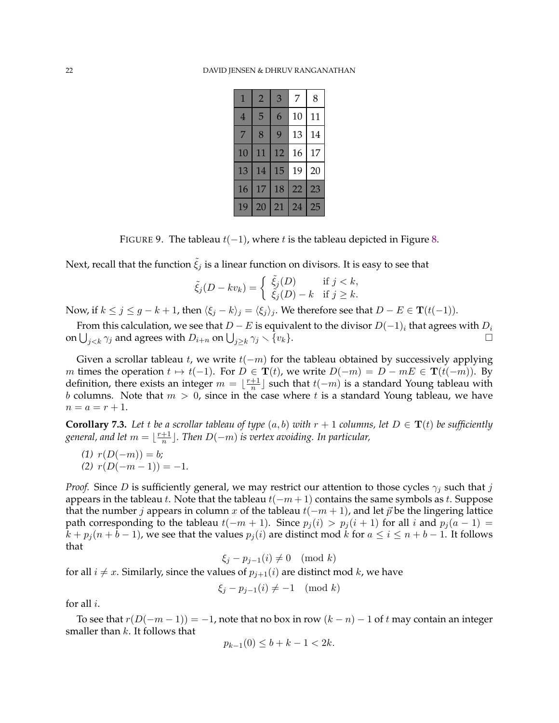| 1              | $\overline{2}$ | 3           | 7  | 8  |
|----------------|----------------|-------------|----|----|
| $\overline{4}$ | 5              | 6           | 10 | 11 |
| 7              | 8              | $\mathbf Q$ | 13 | 14 |
| $10\,$         | 11             | 12          | 16 | 17 |
| 13             | 14             | 15          | 19 | 20 |
| 16             | 17             | 18          | 22 | 23 |
| 19             | 20             | 21          | 24 | 25 |

<span id="page-21-0"></span>FIGURE 9. The tableau  $t(-1)$ , where t is the tableau depicted in Figure [8.](#page-20-0)

Next, recall that the function  $\tilde{\xi}_j$  is a linear function on divisors. It is easy to see that

$$
\tilde{\xi}_j(D - kv_k) = \begin{cases} \tilde{\xi}_j(D) & \text{if } j < k, \\ \tilde{\xi}_j(D) - k & \text{if } j \ge k. \end{cases}
$$

Now, if  $k \le j \le g - k + 1$ , then  $\langle \xi_j - k \rangle_j = \langle \xi_j \rangle_j$ . We therefore see that  $D - E \in \mathbf{T}(t(-1))$ .

From this calculation, we see that  $D - E$  is equivalent to the divisor  $D(-1)_i$  that agrees with  $D_i$ on  $\bigcup_{j < k} \gamma_j$  and agrees with  $D_{i+n}$  on  $\bigcup_{j \geq k} \gamma_j \setminus \{v_k\}.$ 

Given a scrollar tableau t, we write  $t(-m)$  for the tableau obtained by successively applying m times the operation  $t \mapsto t(-1)$ . For  $D \in {\bf T}(t)$ , we write  $D(-m) = D - mE \in {\bf T}(t(-m))$ . By definition, there exists an integer  $m = \lfloor \frac{r+1}{n} \rfloor$  $\frac{+1}{n}$ ] such that  $t(-m)$  is a standard Young tableau with b columns. Note that  $m > 0$ , since in the case where t is a standard Young tableau, we have  $n = a = r + 1.$ 

<span id="page-21-1"></span>**Corollary 7.3.** Let *t* be a scrollar tableau of type  $(a, b)$  with  $r + 1$  columns, let  $D \in T(t)$  be sufficiently general, and let  $m = \lfloor \frac{r+1}{n} \rfloor$ n c*. Then* D(−m) *is vertex avoiding. In particular,*

- $(1)$   $r(D(-m)) = b$ ;
- <span id="page-21-2"></span> $(2)$   $r(D(-m-1)) = -1$ .

*Proof.* Since D is sufficiently general, we may restrict our attention to those cycles  $\gamma_i$  such that j appears in the tableau t. Note that the tableau  $t(-m+1)$  contains the same symbols as t. Suppose that the number *j* appears in column x of the tableau  $t(-m + 1)$ , and let  $\vec{p}$  be the lingering lattice path corresponding to the tableau  $t(-m + 1)$ . Since  $p_i(i) > p_i(i + 1)$  for all i and  $p_i(a - 1) =$  $k + p_j(n + b - 1)$ , we see that the values  $p_j(i)$  are distinct mod k for  $a \le i \le n + b - 1$ . It follows that

$$
\xi_j - p_{j-1}(i) \neq 0 \pmod{k}
$$

for all  $i \neq x$ . Similarly, since the values of  $p_{i+1}(i)$  are distinct mod k, we have

$$
\xi_j - p_{j-1}(i) \neq -1 \pmod{k}
$$

for all i.

To see that  $r(D(-m-1)) = -1$ , note that no box in row  $(k - n) - 1$  of t may contain an integer smaller than  $k$ . It follows that

$$
p_{k-1}(0) \le b + k - 1 < 2k.
$$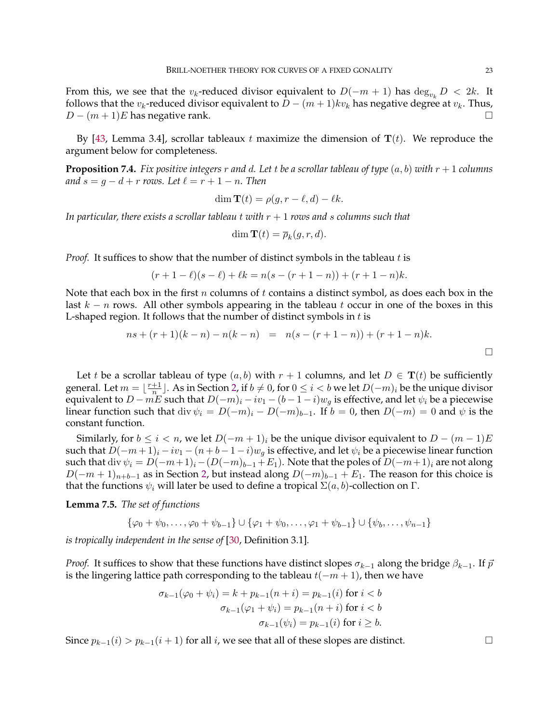From this, we see that the v<sub>k</sub>-reduced divisor equivalent to  $D(-m + 1)$  has  $\deg_{v_L} D < 2k$ . It follows that the  $v_k$ -reduced divisor equivalent to  $D - (m+1)kv_k$  has negative degree at  $v_k$ . Thus,  $D - (m+1)E$  has negative rank.

By [\[43,](#page-32-4) Lemma 3.4], scrollar tableaux t maximize the dimension of  $T(t)$ . We reproduce the argument below for completeness.

<span id="page-22-0"></span>**Proposition 7.4.** *Fix positive integers* r *and* d. Let t be a scrollar tableau of type  $(a, b)$  with  $r + 1$  columns *and*  $s = q - d + r$  *rows.* Let  $\ell = r + 1 - n$ . Then

$$
\dim \mathbf{T}(t) = \rho(g, r - \ell, d) - \ell k.
$$

*In particular, there exists a scrollar tableau* t *with* r + 1 *rows and* s *columns such that*

$$
\dim \mathbf{T}(t) = \overline{\rho}_k(g, r, d).
$$

*Proof.* It suffices to show that the number of distinct symbols in the tableau t is

$$
(r+1-\ell)(s-\ell) + \ell k = n(s-(r+1-n)) + (r+1-n)k.
$$

Note that each box in the first n columns of t contains a distinct symbol, as does each box in the last  $k - n$  rows. All other symbols appearing in the tableau t occur in one of the boxes in this L-shaped region. It follows that the number of distinct symbols in  $t$  is

$$
ns + (r + 1)(k - n) - n(k - n) = n(s - (r + 1 - n)) + (r + 1 - n)k.
$$

Let t be a scrollar tableau of type  $(a, b)$  with  $r + 1$  columns, and let  $D \in T(t)$  be sufficiently general. Let  $m = \lfloor \frac{r+1}{n} \rfloor$  $\frac{+1}{n}$ ]. As in Section [2,](#page-5-0) if  $b \neq 0$ , for  $0 \leq i < b$  we let  $D(-m)_i$  be the unique divisor equivalent to  $D - mE$  such that  $D(-m)<sub>i</sub> - iv<sub>1</sub> - (b - 1 - i)w<sub>g</sub>$  is effective, and let  $\psi<sub>i</sub>$  be a piecewise linear function such that div  $\psi_i = D(-m)_i - D(-m)_{i-1}$ . If  $b = 0$ , then  $D(-m) = 0$  and  $\psi$  is the constant function.

Similarly, for  $b \le i < n$ , we let  $D(-m+1)_i$  be the unique divisor equivalent to  $D - (m-1)E$ such that  $D(-m+1)_i - iv_1 - (n+b-1-i)w_q$  is effective, and let  $\psi_i$  be a piecewise linear function such that div  $\psi_i = D(-m+1)_i - (D(-m)_{b-1}+E_1)$ . Note that the poles of  $D(-m+1)_i$  are not along  $D(-m+1)<sub>n+b-1</sub>$  as in Section [2,](#page-5-0) but instead along  $D(-m)<sub>b-1</sub> + E<sub>1</sub>$ . The reason for this choice is that the functions  $ψ<sub>i</sub>$  will later be used to define a tropical  $\Sigma(a, b)$ -collection on Γ.

<span id="page-22-1"></span>**Lemma 7.5.** *The set of functions*

 $\{\varphi_0 + \psi_0, \ldots, \varphi_0 + \psi_{b-1}\} \cup \{\varphi_1 + \psi_0, \ldots, \varphi_1 + \psi_{b-1}\} \cup \{\psi_b, \ldots, \psi_{n-1}\}\$ 

*is tropically independent in the sense of* [\[30,](#page-32-24) Definition 3.1]*.*

*Proof.* It suffices to show that these functions have distinct slopes  $\sigma_{k-1}$  along the bridge  $\beta_{k-1}$ . If  $\vec{p}$ is the lingering lattice path corresponding to the tableau  $t(-m + 1)$ , then we have

$$
\sigma_{k-1}(\varphi_0 + \psi_i) = k + p_{k-1}(n+i) = p_{k-1}(i) \text{ for } i < b
$$

$$
\sigma_{k-1}(\varphi_1 + \psi_i) = p_{k-1}(n+i) \text{ for } i < b
$$

$$
\sigma_{k-1}(\psi_i) = p_{k-1}(i) \text{ for } i \ge b.
$$

Since  $p_{k-1}(i) > p_{k-1}(i+1)$  for all i, we see that all of these slopes are distinct.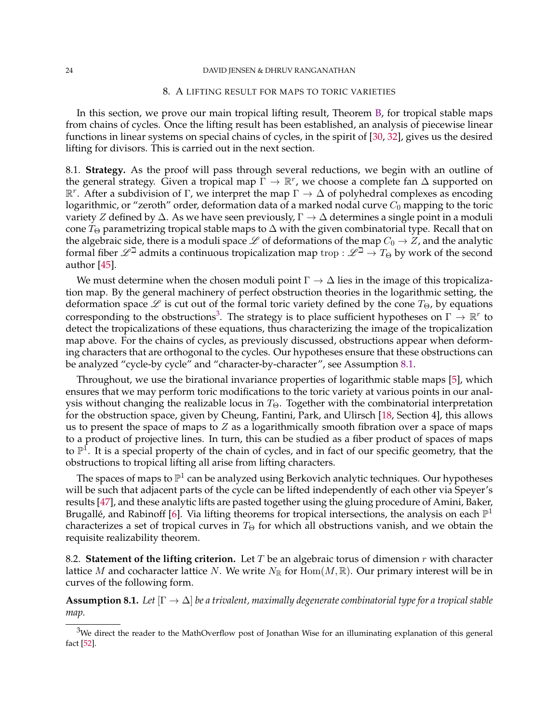#### <span id="page-23-0"></span>24 DAVID JENSEN & DHRUV RANGANATHAN

#### 8. A LIFTING RESULT FOR MAPS TO TORIC VARIETIES

In this section, we prove our main tropical lifting result, Theorem [B,](#page-1-0) for tropical stable maps from chains of cycles. Once the lifting result has been established, an analysis of piecewise linear functions in linear systems on special chains of cycles, in the spirit of [\[30,](#page-32-24) [32\]](#page-32-26), gives us the desired lifting for divisors. This is carried out in the next section.

<span id="page-23-3"></span>8.1. **Strategy.** As the proof will pass through several reductions, we begin with an outline of the general strategy. Given a tropical map  $\breve{\Gamma} \to \mathbb{R}^r$ , we choose a complete fan  $\Delta$  supported on  $\mathbb{R}^r$ . After a subdivision of Γ, we interpret the map  $\Gamma \to \Delta$  of polyhedral complexes as encoding logarithmic, or "zeroth" order, deformation data of a marked nodal curve  $C_0$  mapping to the toric variety Z defined by  $\Delta$ . As we have seen previously,  $\Gamma \to \Delta$  determines a single point in a moduli cone  $T_{\Theta}$  parametrizing tropical stable maps to  $\Delta$  with the given combinatorial type. Recall that on the algebraic side, there is a moduli space  $\mathscr L$  of deformations of the map  $C_0 \to Z$ , and the analytic formal fiber  $\mathscr{L}^{\perp}$  admits a continuous tropicalization map trop :  $\mathscr{L}^{\perp} \to T_{\Theta}$  by work of the second author [\[45\]](#page-32-18).

We must determine when the chosen moduli point  $\Gamma \to \Delta$  lies in the image of this tropicalization map. By the general machinery of perfect obstruction theories in the logarithmic setting, the deformation space  $\mathscr L$  is cut out of the formal toric variety defined by the cone  $T_{\Theta}$ , by equations corresponding to the obstructions<sup>[3](#page-23-1)</sup>. The strategy is to place sufficient hypotheses on  $\Gamma \to \mathbb{R}^r$  to detect the tropicalizations of these equations, thus characterizing the image of the tropicalization map above. For the chains of cycles, as previously discussed, obstructions appear when deforming characters that are orthogonal to the cycles. Our hypotheses ensure that these obstructions can be analyzed "cycle-by cycle" and "character-by-character", see Assumption [8.1.](#page-23-2)

Throughout, we use the birational invariance properties of logarithmic stable maps [\[5\]](#page-31-13), which ensures that we may perform toric modifications to the toric variety at various points in our analysis without changing the realizable locus in  $T_{\Theta}$ . Together with the combinatorial interpretation for the obstruction space, given by Cheung, Fantini, Park, and Ulirsch [\[18,](#page-32-14) Section 4], this allows us to present the space of maps to  $Z$  as a logarithmically smooth fibration over a space of maps to a product of projective lines. In turn, this can be studied as a fiber product of spaces of maps to  $\mathbb{P}^1$ . It is a special property of the chain of cycles, and in fact of our specific geometry, that the obstructions to tropical lifting all arise from lifting characters.

The spaces of maps to  $\mathbb{P}^1$  can be analyzed using Berkovich analytic techniques. Our hypotheses will be such that adjacent parts of the cycle can be lifted independently of each other via Speyer's results [\[47\]](#page-32-22), and these analytic lifts are pasted together using the gluing procedure of Amini, Baker, Brugallé, and Rabinoff [[6\]](#page-31-1). Via lifting theorems for tropical intersections, the analysis on each  $\mathbb{P}^1$ characterizes a set of tropical curves in  $T_{\Theta}$  for which all obstructions vanish, and we obtain the requisite realizability theorem.

8.2. **Statement of the lifting criterion.** Let T be an algebraic torus of dimension r with character lattice M and cocharacter lattice N. We write  $N_{\mathbb{R}}$  for  $\text{Hom}(M, \mathbb{R})$ . Our primary interest will be in curves of the following form.

<span id="page-23-2"></span>**Assumption 8.1.** *Let* [Γ → ∆] *be a trivalent, maximally degenerate combinatorial type for a tropical stable map.*

<span id="page-23-1"></span> $3$ We direct the reader to the MathOverflow post of Jonathan Wise for an illuminating explanation of this general fact [\[52\]](#page-32-34).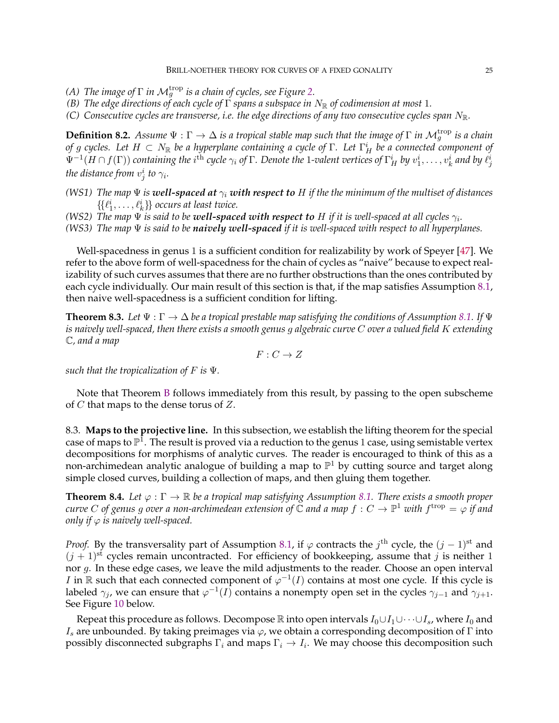- *(A) The image of*  $\Gamma$  *in*  $\mathcal{M}_g^{\text{trop}}$  *is a chain of cycles, see Figure [2.](#page-5-1)*
- *(B) The edge directions of each cycle of* Γ *spans a subspace in*  $N_{\mathbb{R}}$  *of codimension at most* 1*.*
- *(C)* Consecutive cycles are transverse, i.e. the edge directions of any two consecutive cycles span  $N_{\mathbb{R}}$ .

<span id="page-24-0"></span>**Definition 8.2.** Assume  $\Psi : \Gamma \to \Delta$  is a tropical stable map such that the image of  $\Gamma$  in  $\mathcal{M}_g^{\text{trop}}$  is a chain of  $g$  cycles. Let  $H\, \subset\, N_{\Bbb R}$  be a hyperplane containing a cycle of  $\Gamma.$  Let  $\Gamma_H^i$  be a connected component of  $\Psi^{-1}(H\cap f(\Gamma))$  containing the  $i^{\rm th}$  cycle  $\gamma_i$  of  $\Gamma.$  Denote the 1-valent vertices of  $\Gamma^i_H$  by  $v^i_1,\ldots,v^i_k$  and by  $\ell^i_j$ the distance from  $v^i_j$  to  $\gamma_i.$ 

- *(WS1) The map*  $\Psi$  *is well-spaced at*  $\gamma_i$  *with respect to* H *if the the minimum of the multiset of distances*  $\{\{\ell^i_1,\ldots,\ell^i_k\}\}\$  *occurs at least twice.*
- (WS2) The map  $\Psi$  is said to be  $w$ ell-spaced  $w$ ith respect to  $H$  if it is well-spaced at all cycles  $\gamma_i.$
- <span id="page-24-3"></span>*(WS3) The map* Ψ *is said to be naively well-spaced if it is well-spaced with respect to all hyperplanes.*

Well-spacedness in genus 1 is a sufficient condition for realizability by work of Speyer [\[47\]](#page-32-22). We refer to the above form of well-spacedness for the chain of cycles as "naive" because to expect realizability of such curves assumes that there are no further obstructions than the ones contributed by each cycle individually. Our main result of this section is that, if the map satisfies Assumption [8.1,](#page-23-2) then naive well-spacedness is a sufficient condition for lifting.

<span id="page-24-2"></span>**Theorem 8.3.** Let  $\Psi : \Gamma \to \Delta$  *be a tropical prestable map satisfying the conditions of Assumption [8.1.](#page-23-2)* If  $\Psi$ *is naively well-spaced, then there exists a smooth genus* g *algebraic curve* C *over a valued field* K *extending* C*, and a map*

 $F: C \to Z$ 

*such that the tropicalization of* F *is* Ψ*.*

Note that Theorem [B](#page-1-0) follows immediately from this result, by passing to the open subscheme of  $C$  that maps to the dense torus of  $Z$ .

8.3. **Maps to the projective line.** In this subsection, we establish the lifting theorem for the special case of maps to  $\mathbb{P}^1$ . The result is proved via a reduction to the genus 1 case, using semistable vertex decompositions for morphisms of analytic curves. The reader is encouraged to think of this as a non-archimedean analytic analogue of building a map to  $\mathbb{P}^1$  by cutting source and target along simple closed curves, building a collection of maps, and then gluing them together.

<span id="page-24-1"></span>**Theorem 8.4.** *Let*  $\varphi : \Gamma \to \mathbb{R}$  *be a tropical map satisfying Assumption [8.1.](#page-23-2) There exists a smooth proper*  $curve\ C$  of genus  $g$  over a non-archimedean extension of  $\bar{{\mathbb C}}$  and a map  $f:C\to {\mathbb P}^1$  with  $f^{\rm trop}=\varphi$  if and *only if*  $\varphi$  *is naively well-spaced.* 

*Proof.* By the transversality part of Assumption [8.1,](#page-23-2) if  $\varphi$  contracts the  $j^{\text{th}}$  cycle, the  $(j-1)^{\text{st}}$  and  $(j + 1)$ <sup>st</sup> cycles remain uncontracted. For efficiency of bookkeeping, assume that j is neither 1 nor  $g$ . In these edge cases, we leave the mild adjustments to the reader. Choose an open interval I in  $\mathbb R$  such that each connected component of  $\varphi^{-1}(I)$  contains at most one cycle. If this cycle is labeled  $\gamma_j$ , we can ensure that  $\varphi^{-1}(I)$  contains a nonempty open set in the cycles  $\gamma_{j-1}$  and  $\gamma_{j+1}.$ See Figure [10](#page-25-0) below.

Repeat this procedure as follows. Decompose R into open intervals  $I_0\cup I_1\cup\dots\cup I_s$ , where  $I_0$  and  $I_s$  are unbounded. By taking preimages via  $\varphi$ , we obtain a corresponding decomposition of Γ into possibly disconnected subgraphs  $\Gamma_i$  and maps  $\Gamma_i \to I_i$ . We may choose this decomposition such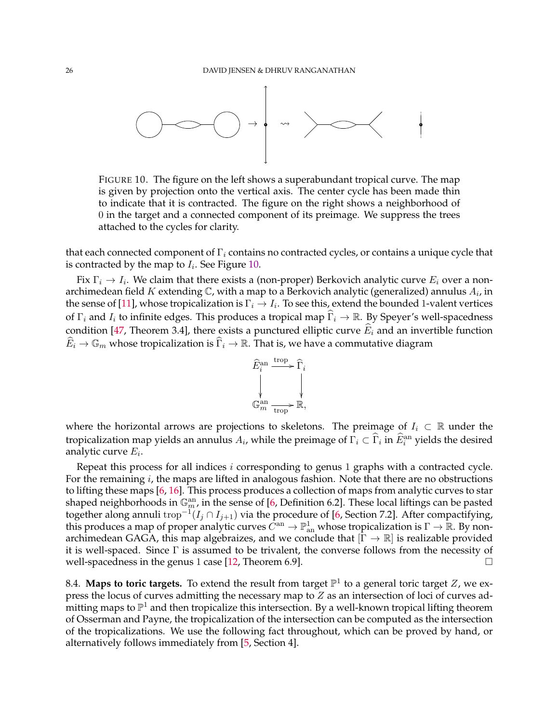

<span id="page-25-0"></span>FIGURE 10. The figure on the left shows a superabundant tropical curve. The map is given by projection onto the vertical axis. The center cycle has been made thin to indicate that it is contracted. The figure on the right shows a neighborhood of 0 in the target and a connected component of its preimage. We suppress the trees attached to the cycles for clarity.

that each connected component of  $\Gamma_i$  contains no contracted cycles, or contains a unique cycle that is contracted by the map to  $I_i$ . See Figure [10.](#page-25-0)

Fix  $\Gamma_i \to I_i$ . We claim that there exists a (non-proper) Berkovich analytic curve  $E_i$  over a nonarchimedean field  $K$  extending  $\mathbb C$ , with a map to a Berkovich analytic (generalized) annulus  $A_i$ , in the sense of [\[11\]](#page-31-15), whose tropicalization is  $\Gamma_i \to I_i$ . To see this, extend the bounded 1-valent vertices of  $\Gamma_i$  and  $I_i$  to infinite edges. This produces a tropical map  $\widehat{\Gamma}_i \to \mathbb{R}$ . By Speyer's well-spacedness condition [\[47,](#page-32-22) Theorem 3.4], there exists a punctured elliptic curve  $\widehat{E}_i$  and an invertible function  $\widehat{E}_i \to \mathbb{G}_m$  whose tropicalization is  $\widehat{\Gamma}_i \to \mathbb{R}$ . That is, we have a commutative diagram

$$
\begin{aligned}\n\widehat{E}^{\text{an}}_i &\xrightarrow{\text{trop}} \widehat{\Gamma}_i \\
&\downarrow \qquad \qquad \downarrow \qquad \qquad \downarrow \\
\mathbb{G}^{\text{an}}_m &\xrightarrow{\text{trop}} \mathbb{R},\n\end{aligned}
$$

where the horizontal arrows are projections to skeletons. The preimage of  $I_i \subset \mathbb{R}$  under the tropicalization map yields an annulus  $A_i$ , while the preimage of  $\Gamma_i \subset \widehat{\Gamma}_i$  in  $\widehat{E}_i^{\text{an}}$  yields the desired analytic curve  $E_i$ .

Repeat this process for all indices i corresponding to genus 1 graphs with a contracted cycle. For the remaining  $i$ , the maps are lifted in analogous fashion. Note that there are no obstructions to lifting these maps [\[6,](#page-31-1) [16\]](#page-32-35). This process produces a collection of maps from analytic curves to star shaped neighborhoods in  $\mathbb{G}_m^{\rm an}$ , in the sense of [\[6,](#page-31-1) Definition 6.2]. These local liftings can be pasted together along annuli trop<sup>-1</sup>( $I_j \cap I_{j+1}$ ) via the procedure of [\[6,](#page-31-1) Section 7.2]. After compactifying, this produces a map of proper analytic curves  $\tilde{C}^{an}\to \mathbb{P}^1_{\rm an}$  whose tropicalization is  $\Gamma\to\mathbb{R}$ . By nonarchimedean GAGA, this map algebraizes, and we conclude that  $[\Gamma \to \mathbb{R}]$  is realizable provided it is well-spaced. Since  $\Gamma$  is assumed to be trivalent, the converse follows from the necessity of well-spacedness in the genus 1 case [\[12,](#page-31-7) Theorem 6.9].

<span id="page-25-1"></span>8.4. Maps to toric targets. To extend the result from target  $\mathbb{P}^1$  to a general toric target  $Z$ , we express the locus of curves admitting the necessary map to Z as an intersection of loci of curves admitting maps to  $\mathbb{P}^1$  and then tropicalize this intersection. By a well-known tropical lifting theorem of Osserman and Payne, the tropicalization of the intersection can be computed as the intersection of the tropicalizations. We use the following fact throughout, which can be proved by hand, or alternatively follows immediately from [\[5,](#page-31-13) Section 4].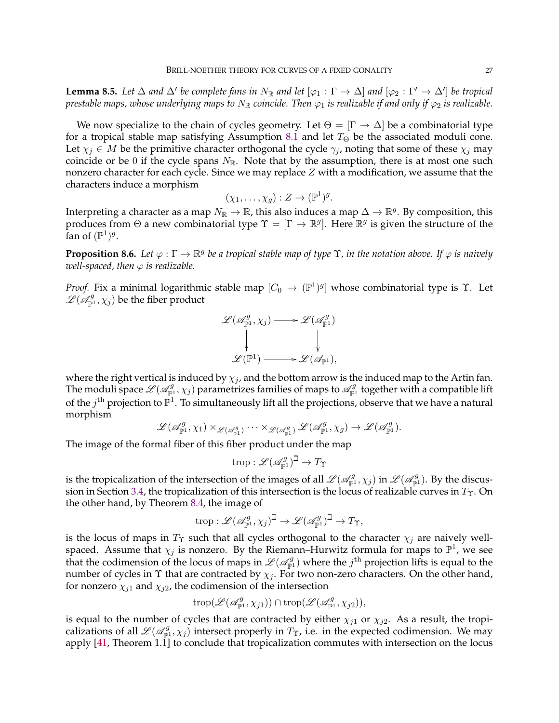<span id="page-26-0"></span>**Lemma 8.5.** Let  $\Delta$  and  $\Delta'$  be complete fans in  $N_{\mathbb{R}}$  and let  $[\varphi_1 : \Gamma \to \Delta]$  and  $[\varphi_2 : \Gamma' \to \Delta']$  be tropical *prestable maps, whose underlying maps to*  $N_{\mathbb{R}}$  *coincide. Then*  $\varphi_1$  *is realizable if and only if*  $\varphi_2$  *is realizable.* 

We now specialize to the chain of cycles geometry. Let  $\Theta = [\Gamma \to \Delta]$  be a combinatorial type for a tropical stable map satisfying Assumption [8.1](#page-23-2) and let  $T_{\Theta}$  be the associated moduli cone. Let  $\chi_j \in M$  be the primitive character orthogonal the cycle  $\gamma_j$ , noting that some of these  $\chi_j$  may coincide or be 0 if the cycle spans  $N_{\mathbb{R}}$ . Note that by the assumption, there is at most one such nonzero character for each cycle. Since we may replace  $Z$  with a modification, we assume that the characters induce a morphism

$$
(\chi_1,\ldots,\chi_g):Z\to(\mathbb{P}^1)^g.
$$

Interpreting a character as a map  $N_\mathbb{R}\to\mathbb{R}$ , this also induces a map  $\Delta\to\mathbb{R}^g.$  By composition, this produces from  $\Theta$  a new combinatorial type  $\Upsilon = [\Gamma \to \mathbb{R}^g]$ . Here  $\mathbb{R}^g$  is given the structure of the fan of  $(\mathbb{P}^1)^g$ .

<span id="page-26-1"></span>**Proposition 8.6.** Let  $\varphi : \Gamma \to \mathbb{R}^g$  be a tropical stable map of type  $\Upsilon$ , in the notation above. If  $\varphi$  is naively *well-spaced, then*  $\varphi$  *is realizable.* 

*Proof.* Fix a minimal logarithmic stable map  $[C_0 \to (\mathbb{P}^1)^g]$  whose combinatorial type is Y. Let  $\mathscr{L}(\mathscr{A}_{\mathbb{P}^1}^g, \chi_j)$  be the fiber product

$$
\mathcal{L}(\mathscr{A}_{\mathbb{P}^1}^g, \chi_j) \longrightarrow \mathscr{L}(\mathscr{A}_{\mathbb{P}^1}^g)
$$
  
\n
$$
\downarrow \qquad \qquad \downarrow
$$
  
\n
$$
\mathscr{L}(\mathbb{P}^1) \longrightarrow \mathscr{L}(\mathscr{A}_{\mathbb{P}^1}),
$$

where the right vertical is induced by  $\chi_i$ , and the bottom arrow is the induced map to the Artin fan. The moduli space  $\mathscr{L}(\mathscr{A}_{\mathbb{P}^1}^g, \chi_j)$  parametrizes families of maps to  $\mathscr{A}_{\mathbb{P}^1}^g$  together with a compatible lift of the  $j^{\text{th}}$  projection to  $\mathbb{P}^1$ . To simultaneously lift all the projections, observe that we have a natural morphism

$$
\mathscr{L}(\mathscr{A}_{\mathbb{P}^1}^g, \chi_1) \times_{\mathscr{L}(\mathscr{A}_{\mathbb{P}^1}^g)} \cdots \times_{\mathscr{L}(\mathscr{A}_{\mathbb{P}^1}^g)} \mathscr{L}(\mathscr{A}_{\mathbb{P}^1}^g, \chi_g) \to \mathscr{L}(\mathscr{A}_{\mathbb{P}^1}^g).
$$

The image of the formal fiber of this fiber product under the map

$$
\operatorname{trop}: \mathscr{L}(\mathscr{A}_{\mathbb{P}^1}^g)^\beth \to T_\Upsilon
$$

is the tropicalization of the intersection of the images of all  $\mathscr{L}(\mathscr{A}_{\mathbb{P}^1}^g,\chi_j)$  in  $\mathscr{L}(\mathscr{A}_{\mathbb{P}^1}^g)$ . By the discus-sion in Section [3.4,](#page-10-0) the tropicalization of this intersection is the locus of realizable curves in  $T_{\Upsilon}$ . On the other hand, by Theorem [8.4,](#page-24-1) the image of

$$
\operatorname{trop}: \mathscr{L}(\mathscr{A}_{\mathbb{P}^1}^g, \chi_j)^\beth \to \mathscr{L}(\mathscr{A}_{\mathbb{P}^1}^g)^\beth \to T_\Upsilon,
$$

is the locus of maps in  $T_{\Upsilon}$  such that all cycles orthogonal to the character  $\chi_i$  are naively wellspaced. Assume that  $\chi_j$  is nonzero. By the Riemann–Hurwitz formula for maps to  $\mathbb{P}^1$ , we see that the codimension of the locus of maps in  $\mathscr{L}(\mathscr{A}_{\mathbb{P}^1}^g)$  where the  $j^{\text{th}}$  projection lifts is equal to the number of cycles in  $\Upsilon$  that are contracted by  $\chi_j$ . For two non-zero characters. On the other hand, for nonzero  $\chi_{i1}$  and  $\chi_{i2}$ , the codimension of the intersection

$$
\operatorname{trop}(\mathscr{L}(\mathscr{A}_{\mathbb{P}^1}^g, \chi_{j1})) \cap \operatorname{trop}(\mathscr{L}(\mathscr{A}_{\mathbb{P}^1}^g, \chi_{j2})),
$$

is equal to the number of cycles that are contracted by either  $\chi_{i1}$  or  $\chi_{i2}$ . As a result, the tropicalizations of all  $\mathscr{L}(\mathscr{A}_{\mathbb{P}^1}^g, \chi_j)$  intersect properly in  $T_\Upsilon$ , i.e. in the expected codimension. We may apply [\[41,](#page-32-36) Theorem 1.1] to conclude that tropicalization commutes with intersection on the locus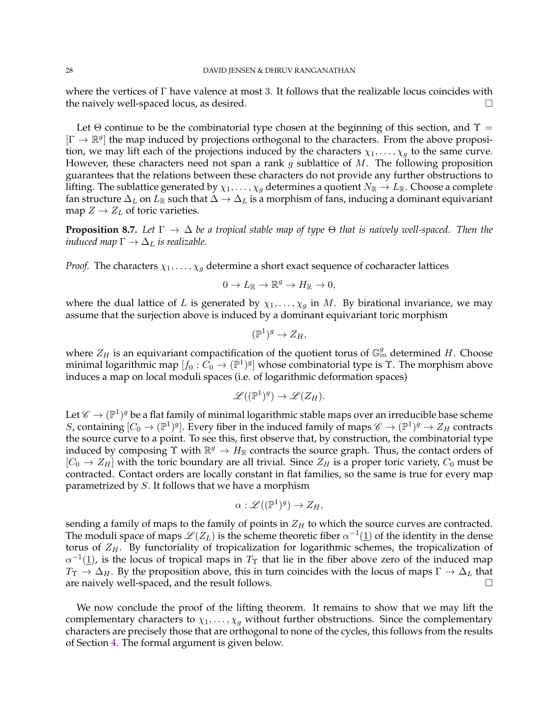where the vertices of  $\Gamma$  have valence at most 3. It follows that the realizable locus coincides with the naively well-spaced locus, as desired.  $\square$ 

Let  $\Theta$  continue to be the combinatorial type chosen at the beginning of this section, and  $\Upsilon$  =  $[\Gamma \to \mathbb{R}^g]$  the map induced by projections orthogonal to the characters. From the above proposition, we may lift each of the projections induced by the characters  $\chi_1, \ldots, \chi_q$  to the same curve. However, these characters need not span a rank  $g$  sublattice of  $M$ . The following proposition guarantees that the relations between these characters do not provide any further obstructions to lifting. The sublattice generated by  $\chi_1, \ldots, \chi_g$  determines a quotient  $N_{\mathbb{R}} \to L_{\mathbb{R}}$ . Choose a complete fan structure  $\Delta_L$  on  $L_\mathbb{R}$  such that  $\Delta\to\Delta_L$  is a morphism of fans, inducing a dominant equivariant map  $Z \rightarrow Z_L$  of toric varieties.

<span id="page-27-0"></span>**Proposition 8.7.** *Let* Γ → ∆ *be a tropical stable map of type* Θ *that is naively well-spaced. Then the induced map*  $\Gamma \rightarrow \Delta_L$  *is realizable.* 

*Proof.* The characters  $\chi_1, \ldots, \chi_q$  determine a short exact sequence of cocharacter lattices

$$
0 \to L_{\mathbb{R}} \to \mathbb{R}^g \to H_{\mathbb{R}} \to 0,
$$

where the dual lattice of L is generated by  $\chi_1, \ldots, \chi_g$  in M. By birational invariance, we may assume that the surjection above is induced by a dominant equivariant toric morphism

$$
(\mathbb{P}^1)^g \to Z_H,
$$

where  $Z_H$  is an equivariant compactification of the quotient torus of  $\mathbb{G}_m^g$  determined H. Choose minimal logarithmic map  $[f_0 : C_0 \to (\mathbb{P}^1)^g]$  whose combinatorial type is  $\Upsilon$ . The morphism above induces a map on local moduli spaces (i.e. of logarithmic deformation spaces)

$$
\mathscr{L}((\mathbb{P}^1)^g) \to \mathscr{L}(Z_H).
$$

Let  $\mathscr{C} \to (\mathbb{P}^1)^g$  be a flat family of minimal logarithmic stable maps over an irreducible base scheme S, containing  $[C_0 \to (\mathbb{P}^1)^g]$ . Every fiber in the induced family of maps  $\mathscr{C} \to (\mathbb{P}^1)^g \to Z_H$  contracts the source curve to a point. To see this, first observe that, by construction, the combinatorial type induced by composing  $\Upsilon$  with  $\mathbb{R}^g \to H_{\mathbb{R}}$  contracts the source graph. Thus, the contact orders of  $[C_0 \rightarrow Z_H]$  with the toric boundary are all trivial. Since  $Z_H$  is a proper toric variety,  $C_0$  must be contracted. Contact orders are locally constant in flat families, so the same is true for every map parametrized by S. It follows that we have a morphism

$$
\alpha: \mathscr{L}((\mathbb{P}^1)^g) \to Z_H,
$$

sending a family of maps to the family of points in  $Z_H$  to which the source curves are contracted. The moduli space of maps  $\mathscr L(Z_L)$  is the scheme theoretic fiber  $\alpha^{-1}(\underline{1})$  of the identity in the dense torus of  $Z_H$ . By functoriality of tropicalization for logarithmic schemes, the tropicalization of  $\alpha^{-1}(\underline{1})$ , is the locus of tropical maps in  $T_{\Upsilon}$  that lie in the fiber above zero of the induced map  $T_{\Upsilon} \to \Delta_H$ . By the proposition above, this in turn coincides with the locus of maps  $\Gamma \to \Delta_L$  that are naively well-spaced, and the result follows.  $\Box$ 

We now conclude the proof of the lifting theorem. It remains to show that we may lift the complementary characters to  $\chi_1, \ldots, \chi_g$  without further obstructions. Since the complementary characters are precisely those that are orthogonal to none of the cycles, this follows from the results of Section [4.](#page-11-1) The formal argument is given below.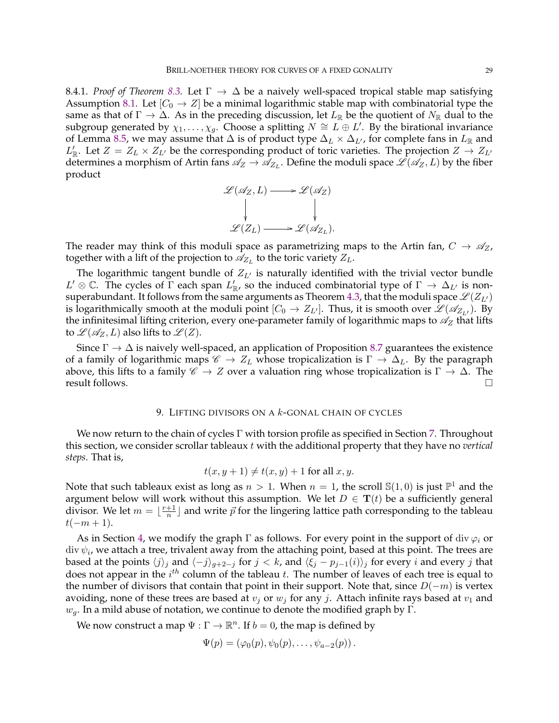8.4.1. *Proof of Theorem [8.3.](#page-24-2)* Let  $\Gamma \to \Delta$  be a naively well-spaced tropical stable map satisfying Assumption [8.1.](#page-23-2) Let  $[C_0 \rightarrow Z]$  be a minimal logarithmic stable map with combinatorial type the same as that of  $\Gamma \to \Delta$ . As in the preceding discussion, let  $L_{\mathbb{R}}$  be the quotient of  $N_{\mathbb{R}}$  dual to the subgroup generated by  $\chi_1,\ldots,\chi_g$ . Choose a splitting  $N \cong L \oplus L'$ . By the birational invariance of Lemma [8.5,](#page-26-0) we may assume that  $\Delta$  is of product type  $\Delta_L \times \Delta_{L'}$ , for complete fans in  $L_{\mathbb{R}}$  and  $L'_{\mathbb{R}}$ . Let  $Z = Z_L \times Z_{L'}$  be the corresponding product of toric varieties. The projection  $Z \to Z_{L'}$ determines a morphism of Artin fans  $\mathscr{A}_Z\to\mathscr{A}_{Z_L}.$  Define the moduli space  $\mathscr{L}(\mathscr{A}_Z,L)$  by the fiber product

$$
\mathcal{L}(\mathscr{A}_Z, L) \longrightarrow \mathcal{L}(\mathscr{A}_Z)
$$
  
\n
$$
\downarrow \qquad \qquad \downarrow
$$
  
\n
$$
\mathcal{L}(Z_L) \longrightarrow \mathcal{L}(\mathscr{A}_{Z_L}).
$$

The reader may think of this moduli space as parametrizing maps to the Artin fan,  $C \rightarrow \mathscr{A}_Z$ , together with a lift of the projection to  $\mathscr{A}_{Z_L}$  to the toric variety  $Z_L$ .

The logarithmic tangent bundle of  $Z_{L'}$  is naturally identified with the trivial vector bundle  $L' \otimes \mathbb{C}$ . The cycles of  $\overline{\Gamma}$  each span  $L'_{\mathbb{R}'}$  so the induced combinatorial type of  $\Gamma \to \Delta_{L'}$  is non-superabundant. It follows from the same arguments as Theorem [4.3,](#page-11-2) that the moduli space  $\mathcal{L}(Z_{L'})$ is logarithmically smooth at the moduli point  $[C_0 \to Z_{L'}]$ . Thus, it is smooth over  $\mathscr{L}(\mathscr{A}_{Z_{L'}})$ . By the infinitesimal lifting criterion, every one-parameter family of logarithmic maps to  $\mathscr{A}_Z$  that lifts to  $\mathcal{L}(\mathcal{A}_Z, L)$  also lifts to  $\mathcal{L}(Z)$ .

Since  $\Gamma \to \Delta$  is naively well-spaced, an application of Proposition [8.7](#page-27-0) guarantees the existence of a family of logarithmic maps  $\mathscr{C} \to Z_L$  whose tropicalization is  $\Gamma \to \Delta_L$ . By the paragraph above, this lifts to a family  $\mathscr{C} \to Z$  over a valuation ring whose tropicalization is  $\Gamma \to \Delta$ . The result follows.  $\Box$ 

## 9. LIFTING DIVISORS ON A  $k$ -GONAL CHAIN OF CYCLES

<span id="page-28-0"></span>We now return to the chain of cycles  $\Gamma$  with torsion profile as specified in Section [7.](#page-19-0) Throughout this section, we consider scrollar tableaux t with the additional property that they have no *vertical steps*. That is,

$$
t(x, y+1) \neq t(x, y) + 1 \text{ for all } x, y.
$$

Note that such tableaux exist as long as  $n > 1$ . When  $n = 1$ , the scroll  $\mathbb{S}(1,0)$  is just  $\mathbb{P}^1$  and the argument below will work without this assumption. We let  $D \in {\bf T}(t)$  be a sufficiently general divisor. We let  $m = \lfloor \frac{r+1}{n} \rfloor$  $\frac{+1}{n}$ ] and write  $\vec{p}$  for the lingering lattice path corresponding to the tableau  $t(-m+1).$ 

As in Section [4,](#page-11-1) we modify the graph  $\Gamma$  as follows. For every point in the support of div  $\varphi_i$  or  ${\rm div}\,\psi_i$ , we attach a tree, trivalent away from the attaching point, based at this point. The trees are based at the points  $\langle j \rangle_j$  and  $\langle -j \rangle_{g+2-j}$  for  $j < k$ , and  $\langle \xi_j - p_{j-1}(i) \rangle_j$  for every i and every j that does not appear in the  $i^{th}$  column of the tableau t. The number of leaves of each tree is equal to the number of divisors that contain that point in their support. Note that, since  $D(-m)$  is vertex avoiding, none of these trees are based at  $v_i$  or  $w_j$  for any j. Attach infinite rays based at  $v_1$  and  $w_q$ . In a mild abuse of notation, we continue to denote the modified graph by Γ.

We now construct a map  $\Psi : \Gamma \to \mathbb{R}^n$ . If  $b = 0$ , the map is defined by

$$
\Psi(p)=(\varphi_0(p),\psi_0(p),\ldots,\psi_{a-2}(p)).
$$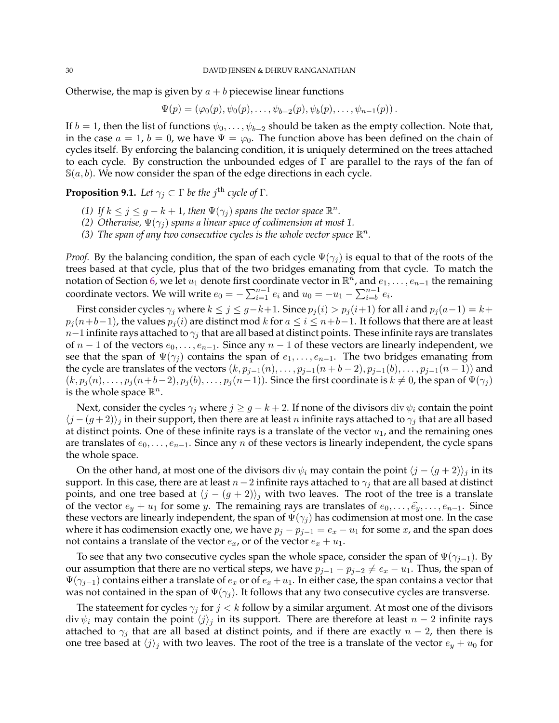Otherwise, the map is given by  $a + b$  piecewise linear functions

$$
\Psi(p) = (\varphi_0(p), \psi_0(p), \dots, \psi_{b-2}(p), \psi_b(p), \dots, \psi_{n-1}(p)).
$$

If  $b = 1$ , then the list of functions  $\psi_0, \dots, \psi_{b-2}$  should be taken as the empty collection. Note that, in the case  $a = 1$ ,  $b = 0$ , we have  $\Psi = \varphi_0$ . The function above has been defined on the chain of cycles itself. By enforcing the balancing condition, it is uniquely determined on the trees attached to each cycle. By construction the unbounded edges of  $\Gamma$  are parallel to the rays of the fan of  $\mathbb{S}(a, b)$ . We now consider the span of the edge directions in each cycle.

<span id="page-29-0"></span>**Proposition 9.1.** Let  $\gamma_j \subset \Gamma$  be the  $j^{\text{th}}$  cycle of  $\Gamma$ .

- (1) If  $k \leq j \leq g k + 1$ , then  $\Psi(\gamma_j)$  spans the vector space  $\mathbb{R}^n$ .
- *(2) Otherwise,*  $\Psi(\gamma_i)$  *spans a linear space of codimension at most 1.*
- (3) The span of any two consecutive cycles is the whole vector space  $\mathbb{R}^n$ .

*Proof.* By the balancing condition, the span of each cycle  $\Psi(\gamma_i)$  is equal to that of the roots of the trees based at that cycle, plus that of the two bridges emanating from that cycle. To match the notation of Section [6,](#page-17-0) we let  $u_1$  denote first coordinate vector in  $\mathbb{R}^n$ , and  $e_1,\ldots,e_{n-1}$  the remaining coordinate vectors. We will write  $e_0 = -\sum_{i=1}^{n-1} e_i$  and  $u_0 = -u_1 - \sum_{i=b}^{n-1} e_i$ .

First consider cycles  $\gamma_j$  where  $k \le j \le g-k+1$ . Since  $p_j(i) > p_j(i+1)$  for all i and  $p_j(a-1) = k+1$  $p_i(n+b-1)$ , the values  $p_i(i)$  are distinct mod k for  $a \le i \le n+b-1$ . It follows that there are at least  $n-1$  infinite rays attached to  $\gamma_i$  that are all based at distinct points. These infinite rays are translates of  $n-1$  of the vectors  $e_0, \ldots, e_{n-1}$ . Since any  $n-1$  of these vectors are linearly independent, we see that the span of  $\Psi(\gamma_i)$  contains the span of  $e_1, \ldots, e_{n-1}$ . The two bridges emanating from the cycle are translates of the vectors  $(k, p_{j-1}(n), \ldots, p_{j-1}(n+b-2), p_{j-1}(b), \ldots, p_{j-1}(n-1))$  and  $(k, p_j(n), \ldots, p_j(n+b-2), p_j(b), \ldots, p_j(n-1))$ . Since the first coordinate is  $k \neq 0$ , the span of  $\Psi(\gamma_j)$ is the whole space  $\mathbb{R}^n$ .

Next, consider the cycles  $\gamma_i$  where  $j \geq g - k + 2$ . If none of the divisors div  $\psi_i$  contain the point  $\langle j - (g + 2) \rangle_j$  in their support, then there are at least n infinite rays attached to  $\gamma_j$  that are all based at distinct points. One of these infinite rays is a translate of the vector  $u_1$ , and the remaining ones are translates of  $e_0, \ldots, e_{n-1}$ . Since any n of these vectors is linearly independent, the cycle spans the whole space.

On the other hand, at most one of the divisors div  $\psi_i$  may contain the point  $\langle j - (g + 2) \rangle_i$  in its support. In this case, there are at least  $n-2$  infinite rays attached to  $\gamma_i$  that are all based at distinct points, and one tree based at  $\langle j - (g + 2) \rangle_j$  with two leaves. The root of the tree is a translate of the vector  $e_y + u_1$  for some y. The remaining rays are translates of  $e_0, \ldots, \hat{e_y}, \ldots, e_{n-1}$ . Since these vectors are linearly independent, the span of  $\Psi(\gamma_i)$  has codimension at most one. In the case where it has codimension exactly one, we have  $p_j - p_{j-1} = e_x - u_1$  for some x, and the span does not contains a translate of the vector  $e_x$ , or of the vector  $e_x + u_1$ .

To see that any two consecutive cycles span the whole space, consider the span of  $\Psi(\gamma_{i-1})$ . By our assumption that there are no vertical steps, we have  $p_{j-1} - p_{j-2} \neq e_x - u_1$ . Thus, the span of  $\Psi(\gamma_{j-1})$  contains either a translate of  $e_x$  or of  $e_x + u_1$ . In either case, the span contains a vector that was not contained in the span of  $\Psi(\gamma_i)$ . It follows that any two consecutive cycles are transverse.

The stateement for cycles  $\gamma_j$  for  $j < k$  follow by a similar argument. At most one of the divisors div  $\psi_i$  may contain the point  $\langle j \rangle_j$  in its support. There are therefore at least  $n-2$  infinite rays attached to  $\gamma_j$  that are all based at distinct points, and if there are exactly  $n-2$ , then there is one tree based at  $\langle j \rangle_j$  with two leaves. The root of the tree is a translate of the vector  $e_y + u_0$  for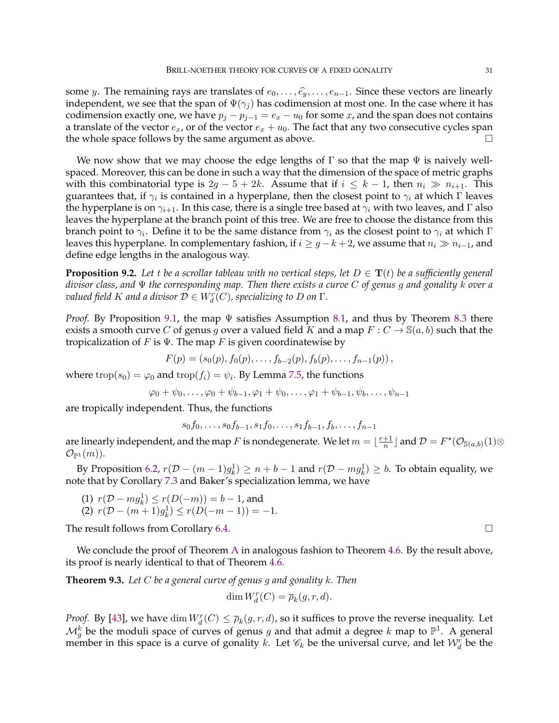some y. The remaining rays are translates of  $e_0, \ldots, \hat{e_y}, \ldots, e_{n-1}$ . Since these vectors are linearly independent, we see that the span of  $\Psi(\gamma_j)$  has codimension at most one. In the case where it has codimension exactly one, we have  $p_j - p_{j-1} = e_x - u_0$  for some x, and the span does not contains a translate of the vector  $e_x$ , or of the vector  $e_x + u_0$ . The fact that any two consecutive cycles span the whole space follows by the same argument as above.  $\Box$ 

We now show that we may choose the edge lengths of  $\Gamma$  so that the map  $\Psi$  is naively wellspaced. Moreover, this can be done in such a way that the dimension of the space of metric graphs with this combinatorial type is  $2g - 5 + 2k$ . Assume that if  $i \leq k - 1$ , then  $n_i \gg n_{i+1}$ . This guarantees that, if  $\gamma_i$  is contained in a hyperplane, then the closest point to  $\gamma_i$  at which  $\Gamma$  leaves the hyperplane is on  $\gamma_{i+1}$ . In this case, there is a single tree based at  $\gamma_i$  with two leaves, and Γ also leaves the hyperplane at the branch point of this tree. We are free to choose the distance from this branch point to  $\gamma_i.$  Define it to be the same distance from  $\gamma_i$  as the closest point to  $\gamma_i$  at which  $\Gamma$ leaves this hyperplane. In complementary fashion, if  $i \geq g - k + 2$ , we assume that  $n_i \gg n_{i-1}$ , and define edge lengths in the analogous way.

<span id="page-30-0"></span>**Proposition 9.2.** Let t be a scrollar tableau with no vertical steps, let  $D \in \mathbf{T}(t)$  be a sufficiently general *divisor class, and* Ψ *the corresponding map. Then there exists a curve* C *of genus* g *and gonality* k *over a*  $\mathit{valued}$  field  $K$  and a divisor  $\mathcal{D} \in W^r_d(C)$ , specializing to  $D$  on  $\Gamma.$ 

*Proof.* By Proposition [9.1,](#page-29-0) the map Ψ satisfies Assumption [8.1,](#page-23-2) and thus by Theorem [8.3](#page-24-2) there exists a smooth curve C of genus g over a valued field K and a map  $F: C \to \mathbb{S}(a, b)$  such that the tropicalization of F is  $\Psi$ . The map F is given coordinatewise by

$$
F(p) = (s_0(p), f_0(p), \ldots, f_{b-2}(p), f_b(p), \ldots, f_{n-1}(p)),
$$

where  $\operatorname{trop}(s_0) = \varphi_0$  and  $\operatorname{trop}(f_i) = \psi_i$ . By Lemma [7.5,](#page-22-1) the functions

$$
\varphi_0 + \psi_0, \ldots, \varphi_0 + \psi_{b-1}, \varphi_1 + \psi_0, \ldots, \varphi_1 + \psi_{b-1}, \psi_b, \ldots, \psi_{n-1}
$$

are tropically independent. Thus, the functions

 $s_0f_0, \ldots, s_0f_{b-1}, s_1f_0, \ldots, s_1f_{b-1}, f_b, \ldots, f_{n-1}$ 

are linearly independent, and the map F is nondegenerate. We let  $m = \lfloor \frac{r+1}{n} \rfloor$  $\frac{+1}{n}\rfloor$  and  $\mathcal{D}=F^{\star}(\mathcal{O}_{\mathbb{S}(a,b)}(1)\otimes$  $\mathcal{O}_{\mathbb{P}^1}(m)$ .

By Proposition [6.2,](#page-18-1)  $r(\mathcal{D} - (m-1)g_k^1) \ge n+b-1$  and  $r(\mathcal{D} - m g_k^1) \ge b$ . To obtain equality, we note that by Corollary [7.3](#page-21-1) and Baker's specialization lemma, we have

- (1)  $r(D mg_k^1) \le r(D(-m)) = b 1$ , and
- (2)  $r(D (m+1)g_k^1) \le r(D(-m-1)) = -1.$

The result follows from Corollary [6.4.](#page-19-1)

We conclude the proof of Theorem [A](#page-0-0) in analogous fashion to Theorem [4.6.](#page-14-0) By the result above, its proof is nearly identical to that of Theorem [4.6.](#page-14-0)

<span id="page-30-1"></span>**Theorem 9.3.** *Let* C *be a general curve of genus* g *and gonality* k*. Then*

$$
\dim W_d^r(C) = \overline{\rho}_k(g, r, d).
$$

*Proof.* By [\[43\]](#page-32-4), we have  $\dim W_d^r(C) \le \overline{\rho}_k(g, r, d)$ , so it suffices to prove the reverse inequality. Let  $\mathcal{M}_g^k$  be the moduli space of curves of genus g and that admit a degree k map to  $\mathbb{P}^1$ . A general member in this space is a curve of gonality k. Let  $\mathscr{C}_k$  be the universal curve, and let  $\mathcal{W}_d^r$  be the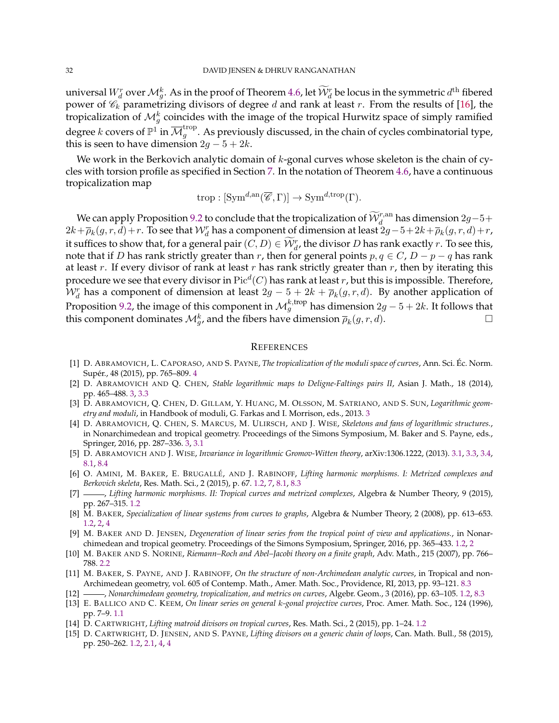universal  $W_d^r$  over  $\mathcal{M}_g^k$ . As in the proof of Theorem [4.6,](#page-14-0) let  $\widetilde{\mathcal{W}}_d^r$  be locus in the symmetric  $d^{\text{th}}$  fibered power of  $\mathcal{C}_k$  parametrizing divisors of degree d and rank at least r. From the results of [\[16\]](#page-32-35), the tropicalization of  ${\cal M}_g^k$  coincides with the image of the tropical Hurwitz space of simply ramified degree  $k$  covers of  $\mathbb{P}^1$  in  $\overline{\mathcal{M}}^{\text{trop}}_g.$  As previously discussed, in the chain of cycles combinatorial type, this is seen to have dimension  $2g - 5 + 2k$ .

We work in the Berkovich analytic domain of  $k$ -gonal curves whose skeleton is the chain of cycles with torsion profile as specified in Section [7.](#page-19-0) In the notation of Theorem [4.6,](#page-14-0) have a continuous tropicalization map

$$
\operatorname{trop}: [\operatorname{Sym}^{d,\operatorname{an}}(\overline{\mathscr{C}},\Gamma)] \to \operatorname{Sym}^{d,\operatorname{trop}}(\Gamma).
$$

We can apply Proposition [9.2](#page-30-0) to conclude that the tropicalization of  $\widetilde{W}_{d}^{r,an}$  has dimension  $2g-5+$  $2k+\overline{\rho}_k(g,r,d)+r.$  To see that  $\mathcal{W}^r_d$  has a component of dimension at least  $2g-5+2k+\overline{\rho}_k(g,r,d)+r.$ it suffices to show that, for a general pair  $(C, D) \in \widetilde{\mathcal{W}}_d^r$ , the divisor D has rank exactly r. To see this, note that if D has rank strictly greater than r, then for general points  $p, q \in C$ ,  $D - p - q$  has rank at least r. If every divisor of rank at least r has rank strictly greater than r, then by iterating this procedure we see that every divisor in  $\mathrm{Pic}^d(C)$  has rank at least  $r$ , but this is impossible. Therefore,  $\mathcal{W}^r_d$  has a component of dimension at least  $2g-5+2k+\overline{\rho}_k(g,r,d)$ . By another application of Proposition [9.2,](#page-30-0) the image of this component in  ${\cal M}_g^{k,\text{trop}}$  has dimension  $2g-5+2k.$  It follows that this component dominates  $\mathcal{M}_{g}^k$ , and the fibers have dimension  $\overline{\rho}_k(g,r,d)$ .

#### <span id="page-31-8"></span>**REFERENCES**

- <span id="page-31-14"></span>[1] D. ABRAMOVICH, L. CAPORASO, AND S. PAYNE, *The tropicalization of the moduli space of curves*, Ann. Sci. Ec. Norm. ´ Supér., [4](#page-14-0)8 (2015), pp. 765-809. 4
- <span id="page-31-10"></span>[2] D. ABRAMOVICH AND Q. CHEN, *Stable logarithmic maps to Deligne-Faltings pairs II*, Asian J. Math., 18 (2014), pp. 465–488. [3,](#page-8-0) [3.3](#page-9-0)
- <span id="page-31-11"></span>[3] D. ABRAMOVICH, Q. CHEN, D. GILLAM, Y. HUANG, M. OLSSON, M. SATRIANO, AND S. SUN, *Logarithmic geometry and moduli*, in Handbook of moduli, G. Farkas and I. Morrison, eds., 2013. [3](#page-8-0)
- <span id="page-31-12"></span>[4] D. ABRAMOVICH, Q. CHEN, S. MARCUS, M. ULIRSCH, AND J. WISE, *Skeletons and fans of logarithmic structures.*, in Nonarchimedean and tropical geometry. Proceedings of the Simons Symposium, M. Baker and S. Payne, eds., Springer, 2016, pp. 287–336. [3,](#page-8-0) [3.1](#page-8-2)
- <span id="page-31-13"></span>[5] D. ABRAMOVICH AND J. WISE, *Invariance in logarithmic Gromov-Witten theory*, arXiv:1306.1222, (2013). [3.1,](#page-8-2) [3.3,](#page-9-0) [3.4,](#page-10-0) [8.1,](#page-23-3) [8.4](#page-25-1)
- <span id="page-31-1"></span>[6] O. AMINI, M. BAKER, E. BRUGALLE´, AND J. RABINOFF, *Lifting harmonic morphisms. I: Metrized complexes and Berkovich skeleta*, Res. Math. Sci., 2 (2015), p. 67. [1.2,](#page-3-0) [7,](#page-19-0) [8.1,](#page-23-3) [8.3](#page-25-0)
- <span id="page-31-3"></span>[7] , *Lifting harmonic morphisms. II: Tropical curves and metrized complexes*, Algebra & Number Theory, 9 (2015), pp. 267–315. [1.2](#page-3-0)
- <span id="page-31-2"></span>[8] M. BAKER, *Specialization of linear systems from curves to graphs*, Algebra & Number Theory, 2 (2008), pp. 613–653. [1.2,](#page-3-0) [2,](#page-5-0) [4](#page-13-0)
- <span id="page-31-5"></span>[9] M. BAKER AND D. JENSEN, *Degeneration of linear series from the tropical point of view and applications.*, in Nonarchimedean and tropical geometry. Proceedings of the Simons Symposium, Springer, 2016, pp. 365–433. [1.2,](#page-3-0) [2](#page-5-0)
- <span id="page-31-9"></span>[10] M. BAKER AND S. NORINE, *Riemann–Roch and Abel–Jacobi theory on a finite graph*, Adv. Math., 215 (2007), pp. 766– 788. [2.2](#page-6-1)
- <span id="page-31-15"></span>[11] M. BAKER, S. PAYNE, AND J. RABINOFF, *On the structure of non-Archimedean analytic curves*, in Tropical and non-Archimedean geometry, vol. 605 of Contemp. Math., Amer. Math. Soc., Providence, RI, 2013, pp. 93–121. [8.3](#page-25-0)
- <span id="page-31-7"></span>[12] , *Nonarchimedean geometry, tropicalization, and metrics on curves*, Algebr. Geom., 3 (2016), pp. 63–105. [1.2,](#page-3-0) [8.3](#page-25-0)
- <span id="page-31-0"></span>[13] E. BALLICO AND C. KEEM, *On linear series on general* k*-gonal projective curves*, Proc. Amer. Math. Soc., 124 (1996), pp. 7–9. [1.1](#page-1-1)
- <span id="page-31-4"></span>[14] D. CARTWRIGHT, *Lifting matroid divisors on tropical curves*, Res. Math. Sci., 2 (2015), pp. 1–24. [1.2](#page-3-0)
- <span id="page-31-6"></span>[15] D. CARTWRIGHT, D. JENSEN, AND S. PAYNE, *Lifting divisors on a generic chain of loops*, Can. Math. Bull., 58 (2015), pp. 250–262. [1.2,](#page-3-0) [2.1,](#page-6-2) [4,](#page-11-1) [4](#page-11-0)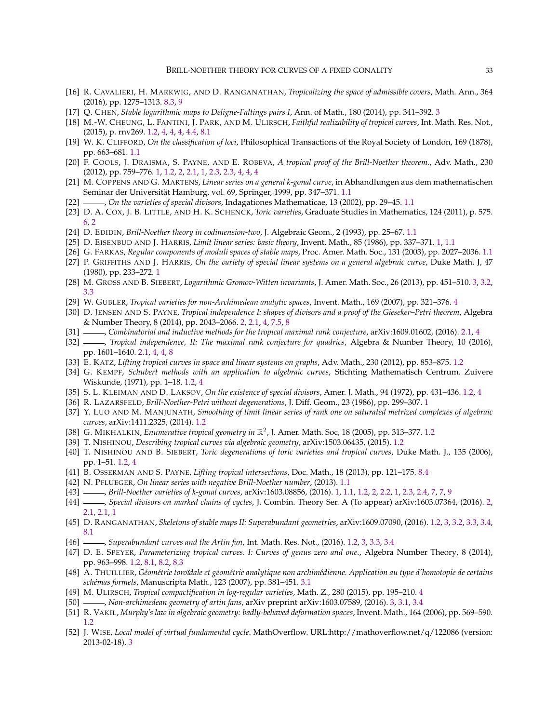- <span id="page-32-35"></span>[16] R. CAVALIERI, H. MARKWIG, AND D. RANGANATHAN, *Tropicalizing the space of admissible covers*, Math. Ann., 364 (2016), pp. 1275–1313. [8.3,](#page-25-0) [9](#page-30-1)
- <span id="page-32-27"></span>[17] Q. CHEN, *Stable logarithmic maps to Deligne-Faltings pairs I*, Ann. of Math., 180 (2014), pp. 341–392. [3](#page-8-0)
- <span id="page-32-14"></span>[18] M.-W. CHEUNG, L. FANTINI, J. PARK, AND M. ULIRSCH, *Faithful realizability of tropical curves*, Int. Math. Res. Not., (2015), p. rnv269. [1.2,](#page-3-0) [4,](#page-11-0) [4,](#page-11-3) [4,](#page-11-2) [4.4,](#page-12-0) [8.1](#page-23-3)
- <span id="page-32-5"></span>[19] W. K. CLIFFORD, *On the classification of loci*, Philosophical Transactions of the Royal Society of London, 169 (1878), pp. 663–681. [1.1](#page-1-1)
- <span id="page-32-1"></span>[20] F. COOLS, J. DRAISMA, S. PAYNE, AND E. ROBEVA, *A tropical proof of the Brill-Noether theorem.*, Adv. Math., 230 (2012), pp. 759–776. [1,](#page-0-1) [1.2,](#page-3-0) [2,](#page-5-0) [2.1,](#page-6-2) [1,](#page-6-0) [2.3,](#page-7-1) [2.3,](#page-7-2) [4,](#page-11-1) [4,](#page-11-0) [4](#page-13-0)
- <span id="page-32-6"></span>[21] M. COPPENS AND G. MARTENS, *Linear series on a general k-gonal curve*, in Abhandlungen aus dem mathematischen Seminar der Universität Hamburg, vol. 69, Springer, 1999, pp. 347–371. [1.1](#page-1-1)
- <span id="page-32-7"></span>[22] , *On the varieties of special divisors*, Indagationes Mathematicae, 13 (2002), pp. 29–45. [1.1](#page-1-1)
- <span id="page-32-33"></span>[23] D. A. COX, J. B. LITTLE, AND H. K. SCHENCK, *Toric varieties*, Graduate Studies in Mathematics, 124 (2011), p. 575. [6,](#page-17-0) [2](#page-18-0)
- <span id="page-32-9"></span>[24] D. EDIDIN, *Brill-Noether theory in codimension-two*, J. Algebraic Geom., 2 (1993), pp. 25–67. [1.1](#page-1-1)
- <span id="page-32-2"></span>[25] D. EISENBUD AND J. HARRIS, *Limit linear series: basic theory*, Invent. Math., 85 (1986), pp. 337–371. [1,](#page-0-1) [1.1](#page-1-1)
- <span id="page-32-8"></span>[26] G. FARKAS, *Regular components of moduli spaces of stable maps*, Proc. Amer. Math. Soc., 131 (2003), pp. 2027–2036. [1.1](#page-1-1)
- <span id="page-32-0"></span>[27] P. GRIFFITHS AND J. HARRIS, *On the variety of special linear systems on a general algebraic curve*, Duke Math. J, 47 (1980), pp. 233–272. [1](#page-0-1)
- <span id="page-32-28"></span>[28] M. GROSS AND B. SIEBERT, *Logarithmic Gromov-Witten invariants*, J. Amer. Math. Soc., 26 (2013), pp. 451–510. [3,](#page-8-0) [3.2,](#page-9-1) [3.3](#page-9-0)
- <span id="page-32-31"></span>[29] W. GUBLER, *Tropical varieties for non-Archimedean analytic spaces*, Invent. Math., 169 (2007), pp. 321–376. [4](#page-13-0)
- <span id="page-32-24"></span>[30] D. JENSEN AND S. PAYNE, *Tropical independence I: shapes of divisors and a proof of the Gieseker–Petri theorem*, Algebra & Number Theory, 8 (2014), pp. 2043–2066. [2,](#page-5-0) [2.1,](#page-6-2) [4,](#page-11-1) [7.5,](#page-22-1) [8](#page-23-0)
- <span id="page-32-25"></span>[31] , Combinatorial and inductive methods for the tropical maximal rank conjecture, arXiv:1609.01602, (2016). [2.1,](#page-6-2) [4](#page-11-1)
- <span id="page-32-26"></span>[32] - *Tropical independence, II: The maximal rank conjecture for quadrics*, Algebra & Number Theory, 10 (2016), pp. 1601–1640. [2.1,](#page-6-2) [4,](#page-11-1) [4,](#page-13-0) [8](#page-23-0)
- <span id="page-32-15"></span>[33] E. KATZ, *Lifting tropical curves in space and linear systems on graphs*, Adv. Math., 230 (2012), pp. 853–875. [1.2](#page-3-0)
- <span id="page-32-12"></span>[34] G. KEMPF, *Schubert methods with an application to algebraic curves*, Stichting Mathematisch Centrum. Zuivere Wiskunde, (1971), pp. 1–18. [1.2,](#page-3-0) [4](#page-13-0)
- <span id="page-32-13"></span>[35] S. L. KLEIMAN AND D. LAKSOV, *On the existence of special divisors*, Amer. J. Math., 94 (1972), pp. 431–436. [1.2,](#page-3-0) [4](#page-13-0)
- <span id="page-32-3"></span>[36] R. LAZARSFELD, *Brill-Noether-Petri without degenerations*, J. Diff. Geom., 23 (1986), pp. 299–307. [1](#page-0-1)
- <span id="page-32-11"></span>[37] Y. LUO AND M. MANJUNATH, *Smoothing of limit linear series of rank one on saturated metrized complexes of algebraic curves*, arXiv:1411.2325, (2014). [1.2](#page-3-0)
- <span id="page-32-16"></span>[38] G. MIKHALKIN, *Enumerative tropical geometry in* R 2 , J. Amer. Math. Soc, 18 (2005), pp. 313–377. [1.2](#page-3-0)
- <span id="page-32-19"></span>[39] T. NISHINOU, *Describing tropical curves via algebraic geometry*, arXiv:1503.06435, (2015). [1.2](#page-3-0)
- <span id="page-32-20"></span>[40] T. NISHINOU AND B. SIEBERT, *Toric degenerations of toric varieties and tropical curves*, Duke Math. J., 135 (2006), pp. 1–51. [1.2,](#page-3-0) [4](#page-11-2)
- <span id="page-32-36"></span>[41] B. OSSERMAN AND S. PAYNE, *Lifting tropical intersections*, Doc. Math., 18 (2013), pp. 121–175. [8.4](#page-26-1)
- <span id="page-32-10"></span>[42] N. PFLUEGER, *On linear series with negative Brill-Noether number*, (2013). [1.1](#page-1-1)
- <span id="page-32-4"></span>[43] , *Brill-Noether varieties of k-gonal curves*, arXiv:1603.08856, (2016). [1,](#page-0-1) [1.1,](#page-1-1) [1.2,](#page-3-0) [2,](#page-5-0) [2.2,](#page-6-1) [1,](#page-6-0) [2.3,](#page-7-0) [2.4,](#page-8-1) [7,](#page-19-0) [7,](#page-21-2) [9](#page-30-1)
- <span id="page-32-23"></span>[44] , *Special divisors on marked chains of cycles*, J. Combin. Theory Ser. A (To appear) arXiv:1603.07364, (2016). [2,](#page-5-0) [2.1,](#page-5-1) [2.1,](#page-5-2) [1](#page-6-0)
- <span id="page-32-18"></span>[45] D. RANGANATHAN, *Skeletons of stable maps II: Superabundant geometries*, arXiv:1609.07090, (2016). [1.2,](#page-3-0) [3,](#page-8-0) [3.2,](#page-9-1) [3.3,](#page-9-0) [3.4,](#page-10-1) [8.1](#page-23-3)
- <span id="page-32-21"></span>[46] , *Superabundant curves and the Artin fan*, Int. Math. Res. Not., (2016). [1.2,](#page-3-0) [3,](#page-8-0) [3.3,](#page-9-0) [3.4](#page-10-1)
- <span id="page-32-22"></span>[47] D. E. SPEYER, *Parameterizing tropical curves. I: Curves of genus zero and one.*, Algebra Number Theory, 8 (2014), pp. 963–998. [1.2,](#page-3-0) [8.1,](#page-23-3) [8.2,](#page-24-3) [8.3](#page-25-0)
- <span id="page-32-30"></span>[48] A. THUILLIER, Géométrie toroïdale et géométrie analytique non archimédienne. Application au type d'homotopie de certains *sch´emas formels*, Manuscripta Math., 123 (2007), pp. 381–451. [3.1](#page-8-2)
- <span id="page-32-32"></span>[49] M. ULIRSCH, *Tropical compactification in log-regular varieties*, Math. Z., 280 (2015), pp. 195–210. [4](#page-14-0)
- <span id="page-32-29"></span>[50] , *Non-archimedean geometry of artin fans*, arXiv preprint arXiv:1603.07589, (2016). [3,](#page-8-0) [3.1,](#page-8-2) [3.4](#page-10-1)
- <span id="page-32-17"></span>[51] R. VAKIL, *Murphy's law in algebraic geometry: badly-behaved deformation spaces*, Invent. Math., 164 (2006), pp. 569–590. [1.2](#page-3-0)
- <span id="page-32-34"></span>[52] J. WISE, *Local model of virtual fundamental cycle*. MathOverflow. URL:http://mathoverflow.net/q/122086 (version: 2013-02-18). [3](#page-23-1)